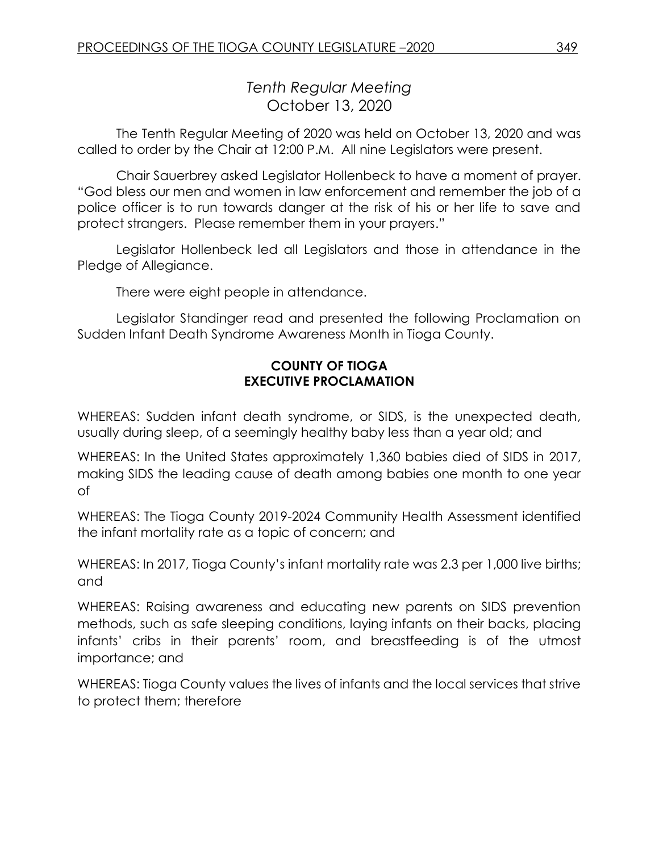# *Tenth Regular Meeting* October 13, 2020

The Tenth Regular Meeting of 2020 was held on October 13, 2020 and was called to order by the Chair at 12:00 P.M. All nine Legislators were present.

Chair Sauerbrey asked Legislator Hollenbeck to have a moment of prayer. "God bless our men and women in law enforcement and remember the job of a police officer is to run towards danger at the risk of his or her life to save and protect strangers. Please remember them in your prayers."

Legislator Hollenbeck led all Legislators and those in attendance in the Pledge of Allegiance.

There were eight people in attendance.

Legislator Standinger read and presented the following Proclamation on Sudden Infant Death Syndrome Awareness Month in Tioga County.

### **COUNTY OF TIOGA EXECUTIVE PROCLAMATION**

WHEREAS: Sudden infant death syndrome, or SIDS, is the unexpected death, usually during sleep, of a seemingly healthy baby less than a year old; and

WHEREAS: In the United States approximately 1,360 babies died of SIDS in 2017, making SIDS the leading cause of death among babies one month to one year of

WHEREAS: The Tioga County 2019-2024 Community Health Assessment identified the infant mortality rate as a topic of concern; and

WHEREAS: In 2017, Tioga County's infant mortality rate was 2.3 per 1,000 live births; and

WHEREAS: Raising awareness and educating new parents on SIDS prevention methods, such as safe sleeping conditions, laying infants on their backs, placing infants' cribs in their parents' room, and breastfeeding is of the utmost importance; and

WHEREAS: Tioga County values the lives of infants and the local services that strive to protect them; therefore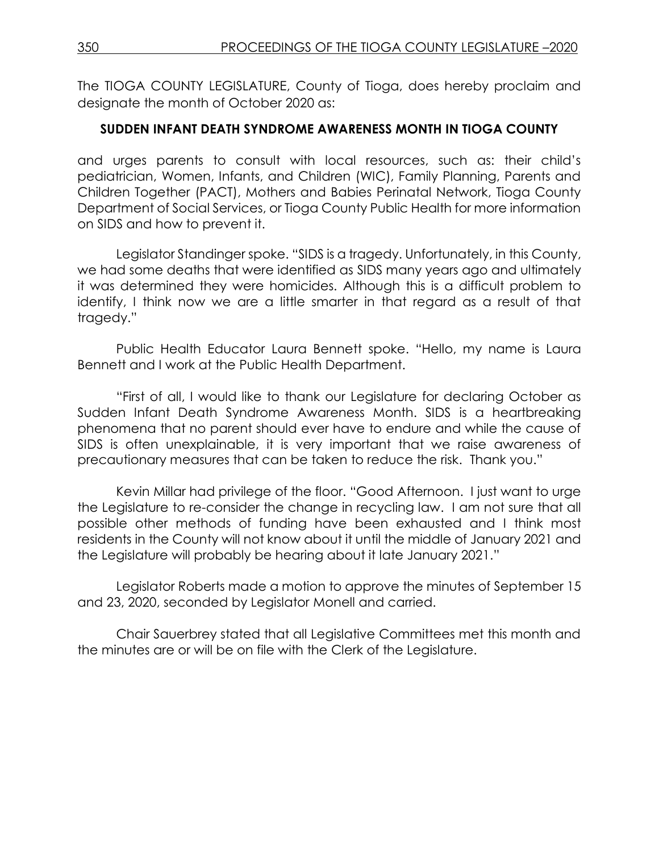The TIOGA COUNTY LEGISLATURE, County of Tioga, does hereby proclaim and designate the month of October 2020 as:

#### **SUDDEN INFANT DEATH SYNDROME AWARENESS MONTH IN TIOGA COUNTY**

and urges parents to consult with local resources, such as: their child's pediatrician, Women, Infants, and Children (WIC), Family Planning, Parents and Children Together (PACT), Mothers and Babies Perinatal Network, Tioga County Department of Social Services, or Tioga County Public Health for more information on SIDS and how to prevent it.

Legislator Standinger spoke. "SIDS is a tragedy. Unfortunately, in this County, we had some deaths that were identified as SIDS many years ago and ultimately it was determined they were homicides. Although this is a difficult problem to identify, I think now we are a little smarter in that regard as a result of that tragedy."

Public Health Educator Laura Bennett spoke. "Hello, my name is Laura Bennett and I work at the Public Health Department.

"First of all, I would like to thank our Legislature for declaring October as Sudden Infant Death Syndrome Awareness Month. SIDS is a heartbreaking phenomena that no parent should ever have to endure and while the cause of SIDS is often unexplainable, it is very important that we raise awareness of precautionary measures that can be taken to reduce the risk. Thank you."

Kevin Millar had privilege of the floor. "Good Afternoon. I just want to urge the Legislature to re-consider the change in recycling law. I am not sure that all possible other methods of funding have been exhausted and I think most residents in the County will not know about it until the middle of January 2021 and the Legislature will probably be hearing about it late January 2021."

Legislator Roberts made a motion to approve the minutes of September 15 and 23, 2020, seconded by Legislator Monell and carried.

Chair Sauerbrey stated that all Legislative Committees met this month and the minutes are or will be on file with the Clerk of the Legislature.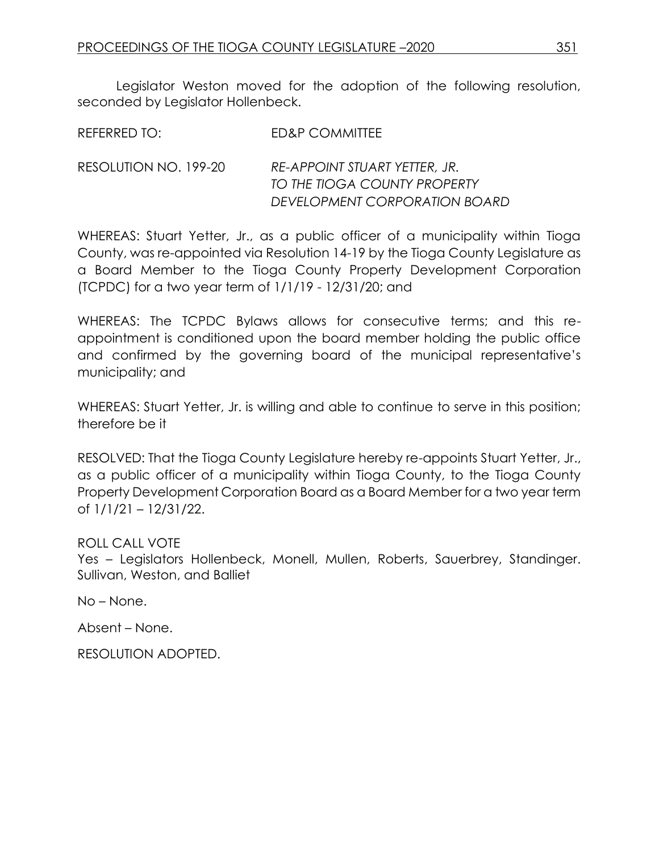Legislator Weston moved for the adoption of the following resolution, seconded by Legislator Hollenbeck.

| REFERRED TO:          | ED&P COMMITTEE                                                                                 |
|-----------------------|------------------------------------------------------------------------------------------------|
| RESOLUTION NO. 199-20 | RE-APPOINT STUART YETTER, JR.<br>TO THE TIOGA COUNTY PROPERTY<br>DEVELOPMENT CORPORATION BOARD |

WHEREAS: Stuart Yetter, Jr., as a public officer of a municipality within Tioga County, was re-appointed via Resolution 14-19 by the Tioga County Legislature as a Board Member to the Tioga County Property Development Corporation (TCPDC) for a two year term of 1/1/19 - 12/31/20; and

WHEREAS: The TCPDC Bylaws allows for consecutive terms; and this reappointment is conditioned upon the board member holding the public office and confirmed by the governing board of the municipal representative's municipality; and

WHEREAS: Stuart Yetter, Jr. is willing and able to continue to serve in this position; therefore be it

RESOLVED: That the Tioga County Legislature hereby re-appoints Stuart Yetter, Jr., as a public officer of a municipality within Tioga County, to the Tioga County Property Development Corporation Board as a Board Member for a two year term of 1/1/21 – 12/31/22.

#### ROLL CALL VOTE

Yes – Legislators Hollenbeck, Monell, Mullen, Roberts, Sauerbrey, Standinger. Sullivan, Weston, and Balliet

No – None.

Absent – None.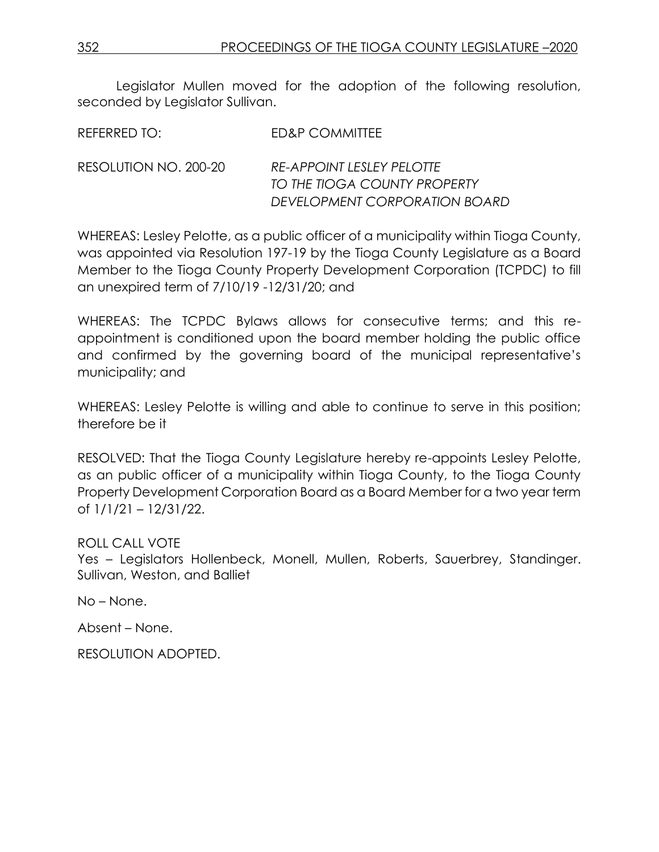Legislator Mullen moved for the adoption of the following resolution, seconded by Legislator Sullivan.

| REFERRED TO:          | <b>ED&amp;P COMMITTEE</b>                                 |
|-----------------------|-----------------------------------------------------------|
| RESOLUTION NO. 200-20 | RE-APPOINT LESLEY PELOTTE<br>TO THE TIOGA COUNTY PROPERTY |
|                       | DEVELOPMENT CORPORATION BOARD                             |

WHEREAS: Lesley Pelotte, as a public officer of a municipality within Tioga County, was appointed via Resolution 197-19 by the Tioga County Legislature as a Board Member to the Tioga County Property Development Corporation (TCPDC) to fill an unexpired term of 7/10/19 -12/31/20; and

WHEREAS: The TCPDC Bylaws allows for consecutive terms; and this reappointment is conditioned upon the board member holding the public office and confirmed by the governing board of the municipal representative's municipality; and

WHEREAS: Lesley Pelotte is willing and able to continue to serve in this position; therefore be it

RESOLVED: That the Tioga County Legislature hereby re-appoints Lesley Pelotte, as an public officer of a municipality within Tioga County, to the Tioga County Property Development Corporation Board as a Board Member for a two year term of 1/1/21 – 12/31/22.

#### ROLL CALL VOTE

Yes – Legislators Hollenbeck, Monell, Mullen, Roberts, Sauerbrey, Standinger. Sullivan, Weston, and Balliet

No – None.

Absent – None.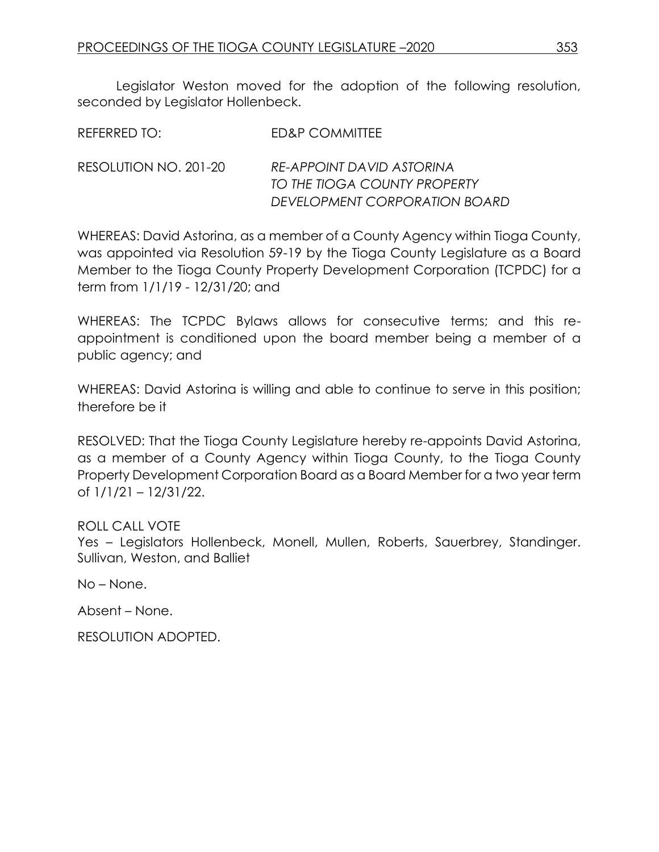Legislator Weston moved for the adoption of the following resolution, seconded by Legislator Hollenbeck.

| REFERRED TO:          | ED&P COMMITTEE                                                                             |
|-----------------------|--------------------------------------------------------------------------------------------|
| RESOLUTION NO. 201-20 | RE-APPOINT DAVID ASTORINA<br>TO THE TIOGA COUNTY PROPERTY<br>DEVELOPMENT CORPORATION BOARD |

WHEREAS: David Astorina, as a member of a County Agency within Tioga County, was appointed via Resolution 59-19 by the Tioga County Legislature as a Board Member to the Tioga County Property Development Corporation (TCPDC) for a term from 1/1/19 - 12/31/20; and

WHEREAS: The TCPDC Bylaws allows for consecutive terms; and this reappointment is conditioned upon the board member being a member of a public agency; and

WHEREAS: David Astorina is willing and able to continue to serve in this position; therefore be it

RESOLVED: That the Tioga County Legislature hereby re-appoints David Astorina, as a member of a County Agency within Tioga County, to the Tioga County Property Development Corporation Board as a Board Member for a two year term of 1/1/21 – 12/31/22.

#### ROLL CALL VOTE

Yes – Legislators Hollenbeck, Monell, Mullen, Roberts, Sauerbrey, Standinger. Sullivan, Weston, and Balliet

No – None.

Absent – None.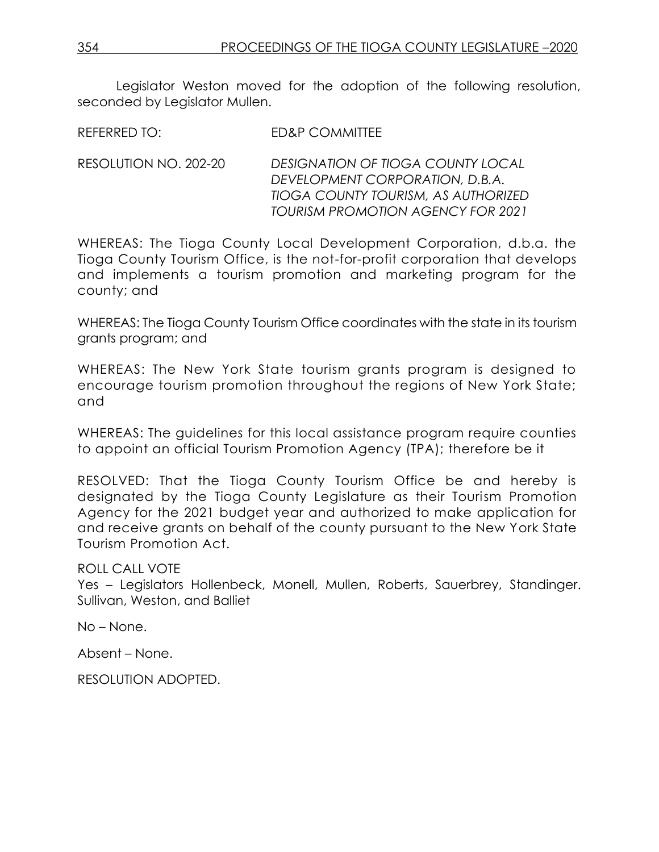Legislator Weston moved for the adoption of the following resolution, seconded by Leaislator Mullen.

REFERRED TO: FD&P COMMITTEE

RESOLUTION NO. 202-20 *DESIGNATION OF TIOGA COUNTY LOCAL DEVELOPMENT CORPORATION, D.B.A. TIOGA COUNTY TOURISM, AS AUTHORIZED TOURISM PROMOTION AGENCY FOR 2021*

WHEREAS: The Tioga County Local Development Corporation, d.b.a. the Tioga County Tourism Office, is the not-for-profit corporation that develops and implements a tourism promotion and marketing program for the county; and

WHEREAS: The Tioga County Tourism Office coordinates with the state in its tourism grants program; and

WHEREAS: The New York State tourism grants program is designed to encourage tourism promotion throughout the regions of New York State; and

WHEREAS: The guidelines for this local assistance program require counties to appoint an official Tourism Promotion Agency (TPA); therefore be it

RESOLVED: That the Tioga County Tourism Office be and hereby is designated by the Tioga County Legislature as their Tourism Promotion Agency for the 2021 budget year and authorized to make application for and receive grants on behalf of the county pursuant to the New York State Tourism Promotion Act.

ROLL CALL VOTE

Yes – Legislators Hollenbeck, Monell, Mullen, Roberts, Sauerbrey, Standinger. Sullivan, Weston, and Balliet

No – None.

Absent – None.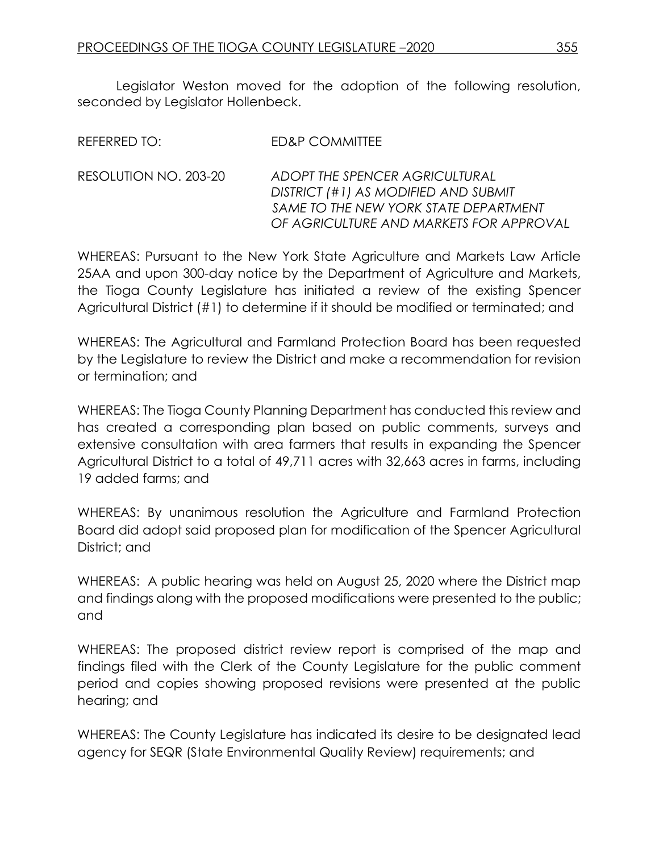Legislator Weston moved for the adoption of the following resolution, seconded by Legislator Hollenbeck.

| REFERRED TO:          | ED&P COMMITTEE                                                                                                                                             |
|-----------------------|------------------------------------------------------------------------------------------------------------------------------------------------------------|
| RESOLUTION NO. 203-20 | ADOPT THE SPENCER AGRICULTURAL<br>DISTRICT (#1) AS MODIFIED AND SUBMIT<br>SAME TO THE NEW YORK STATE DEPARTMENT<br>OF AGRICULTURE AND MARKETS FOR APPROVAL |

WHEREAS: Pursuant to the New York State Agriculture and Markets Law Article 25AA and upon 300-day notice by the Department of Agriculture and Markets, the Tioga County Legislature has initiated a review of the existing Spencer Agricultural District (#1) to determine if it should be modified or terminated; and

WHEREAS: The Agricultural and Farmland Protection Board has been requested by the Legislature to review the District and make a recommendation for revision or termination; and

WHEREAS: The Tioga County Planning Department has conducted this review and has created a corresponding plan based on public comments, surveys and extensive consultation with area farmers that results in expanding the Spencer Agricultural District to a total of 49,711 acres with 32,663 acres in farms, including 19 added farms; and

WHEREAS: By unanimous resolution the Agriculture and Farmland Protection Board did adopt said proposed plan for modification of the Spencer Agricultural District; and

WHEREAS: A public hearing was held on August 25, 2020 where the District map and findings along with the proposed modifications were presented to the public; and

WHEREAS: The proposed district review report is comprised of the map and findings filed with the Clerk of the County Legislature for the public comment period and copies showing proposed revisions were presented at the public hearing; and

WHEREAS: The County Legislature has indicated its desire to be designated lead agency for SEQR (State Environmental Quality Review) requirements; and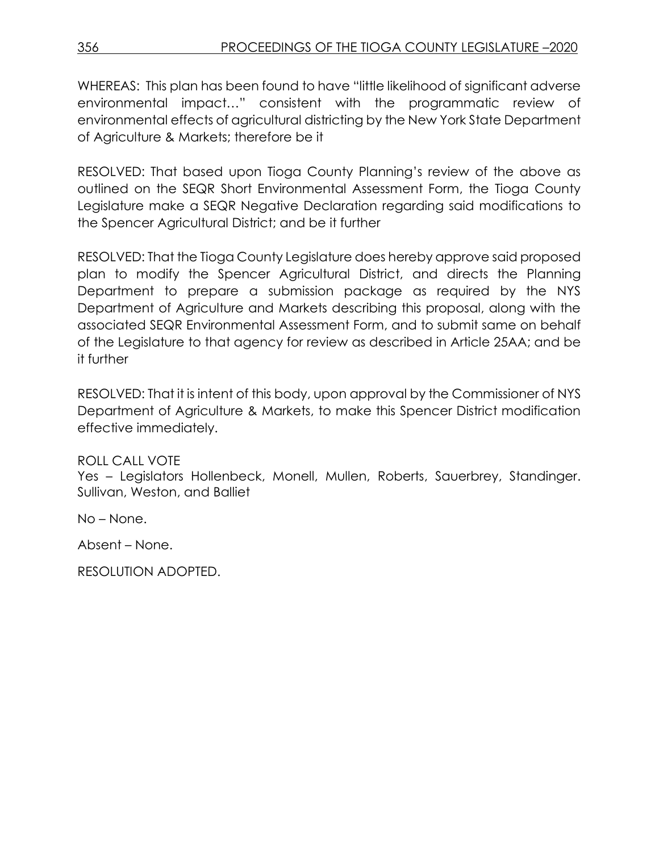WHEREAS: This plan has been found to have "little likelihood of significant adverse environmental impact…" consistent with the programmatic review of environmental effects of agricultural districting by the New York State Department of Agriculture & Markets; therefore be it

RESOLVED: That based upon Tioga County Planning's review of the above as outlined on the SEQR Short Environmental Assessment Form, the Tioga County Legislature make a SEQR Negative Declaration regarding said modifications to the Spencer Agricultural District; and be it further

RESOLVED: That the Tioga County Legislature does hereby approve said proposed plan to modify the Spencer Agricultural District, and directs the Planning Department to prepare a submission package as required by the NYS Department of Agriculture and Markets describing this proposal, along with the associated SEQR Environmental Assessment Form, and to submit same on behalf of the Legislature to that agency for review as described in Article 25AA; and be it further

RESOLVED: That it is intent of this body, upon approval by the Commissioner of NYS Department of Agriculture & Markets, to make this Spencer District modification effective immediately.

ROLL CALL VOTE

Yes – Legislators Hollenbeck, Monell, Mullen, Roberts, Sauerbrey, Standinger. Sullivan, Weston, and Balliet

No – None.

Absent – None.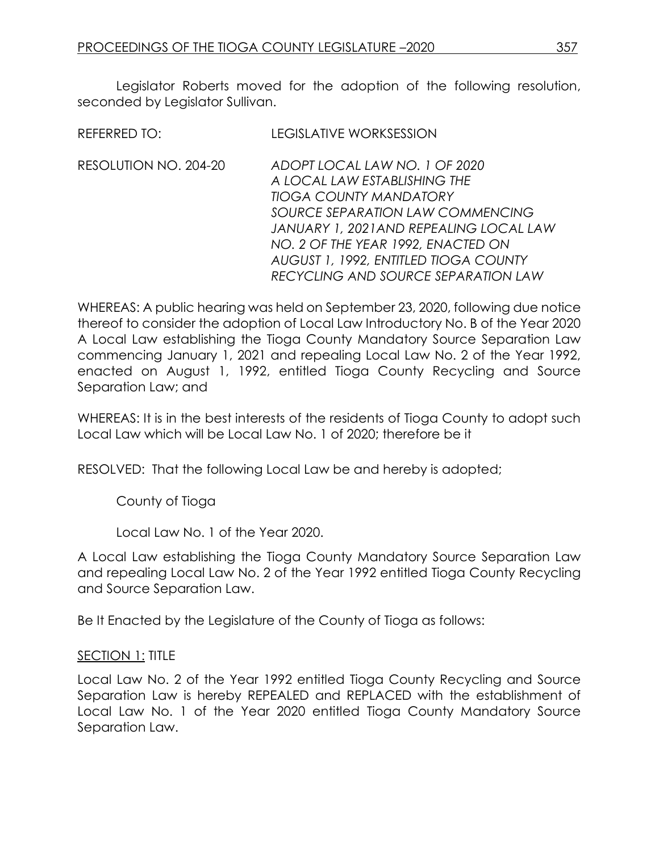Legislator Roberts moved for the adoption of the following resolution, seconded by Legislator Sullivan.

| REFERRED TO:          | <b>LEGISLATIVE WORKSESSION</b>                                                                                                                                                |
|-----------------------|-------------------------------------------------------------------------------------------------------------------------------------------------------------------------------|
| RESOLUTION NO. 204-20 | ADOPT LOCAL LAW NO. 1 OF 2020<br>A LOCAL LAW ESTABLISHING THE<br><b>TIOGA COUNTY MANDATORY</b><br>SOURCE SEPARATION LAW COMMENCING<br>JANUARY 1, 2021 AND REPEALING LOCAL LAW |

WHEREAS: A public hearing was held on September 23, 2020, following due notice thereof to consider the adoption of Local Law Introductory No. B of the Year 2020 A Local Law establishing the Tioga County Mandatory Source Separation Law commencing January 1, 2021 and repealing Local Law No. 2 of the Year 1992, enacted on August 1, 1992, entitled Tioga County Recycling and Source Separation Law; and

*NO. 2 OF THE YEAR 1992, ENACTED ON AUGUST 1, 1992, ENTITLED TIOGA COUNTY RECYCLING AND SOURCE SEPARATION LAW*

WHEREAS: It is in the best interests of the residents of Tioga County to adopt such Local Law which will be Local Law No. 1 of 2020; therefore be it

RESOLVED: That the following Local Law be and hereby is adopted;

County of Tioga

Local Law No. 1 of the Year 2020.

A Local Law establishing the Tioga County Mandatory Source Separation Law and repealing Local Law No. 2 of the Year 1992 entitled Tioga County Recycling and Source Separation Law.

Be It Enacted by the Legislature of the County of Tioga as follows:

#### SECTION 1: TITLE

Local Law No. 2 of the Year 1992 entitled Tioga County Recycling and Source Separation Law is hereby REPEALED and REPLACED with the establishment of Local Law No. 1 of the Year 2020 entitled Tioga County Mandatory Source Separation Law.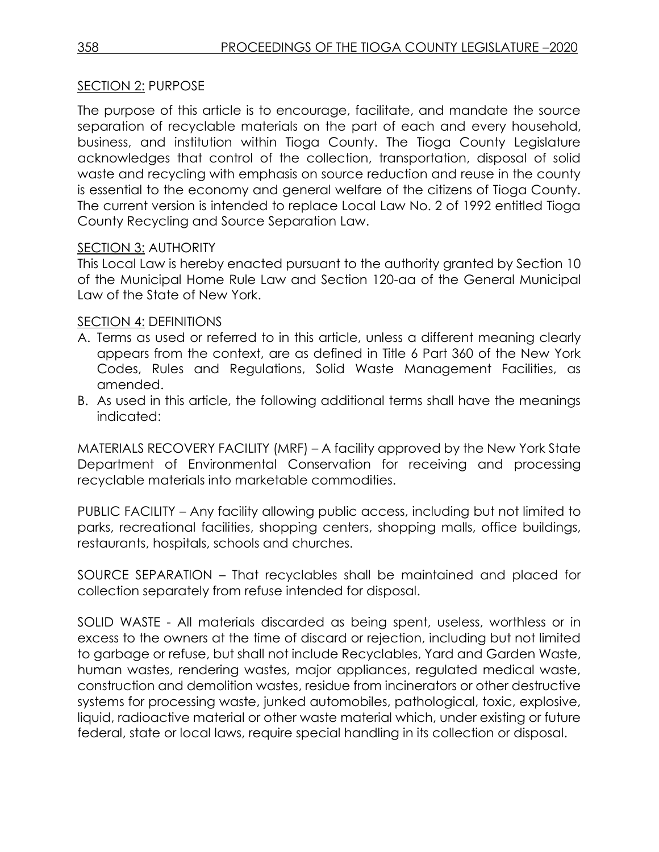#### SECTION 2: PURPOSE

The purpose of this article is to encourage, facilitate, and mandate the source separation of recyclable materials on the part of each and every household, business, and institution within Tioga County. The Tioga County Legislature acknowledges that control of the collection, transportation, disposal of solid waste and recycling with emphasis on source reduction and reuse in the county is essential to the economy and general welfare of the citizens of Tioga County. The current version is intended to replace Local Law No. 2 of 1992 entitled Tioga County Recycling and Source Separation Law.

#### SECTION 3: AUTHORITY

This Local Law is hereby enacted pursuant to the authority granted by Section 10 of the Municipal Home Rule Law and Section 120-aa of the General Municipal Law of the State of New York.

#### SECTION 4: DEFINITIONS

- A. Terms as used or referred to in this article, unless a different meaning clearly appears from the context, are as defined in Title 6 Part 360 of the New York Codes, Rules and Regulations, Solid Waste Management Facilities, as amended.
- B. As used in this article, the following additional terms shall have the meanings indicated:

MATERIALS RECOVERY FACILITY (MRF) – A facility approved by the New York State Department of Environmental Conservation for receiving and processing recyclable materials into marketable commodities.

PUBLIC FACILITY – Any facility allowing public access, including but not limited to parks, recreational facilities, shopping centers, shopping malls, office buildings, restaurants, hospitals, schools and churches.

SOURCE SEPARATION – That recyclables shall be maintained and placed for collection separately from refuse intended for disposal.

SOLID WASTE - All materials discarded as being spent, useless, worthless or in excess to the owners at the time of discard or rejection, including but not limited to garbage or refuse, but shall not include Recyclables, Yard and Garden Waste, human wastes, rendering wastes, major appliances, regulated medical waste, construction and demolition wastes, residue from incinerators or other destructive systems for processing waste, junked automobiles, pathological, toxic, explosive, liquid, radioactive material or other waste material which, under existing or future federal, state or local laws, require special handling in its collection or disposal.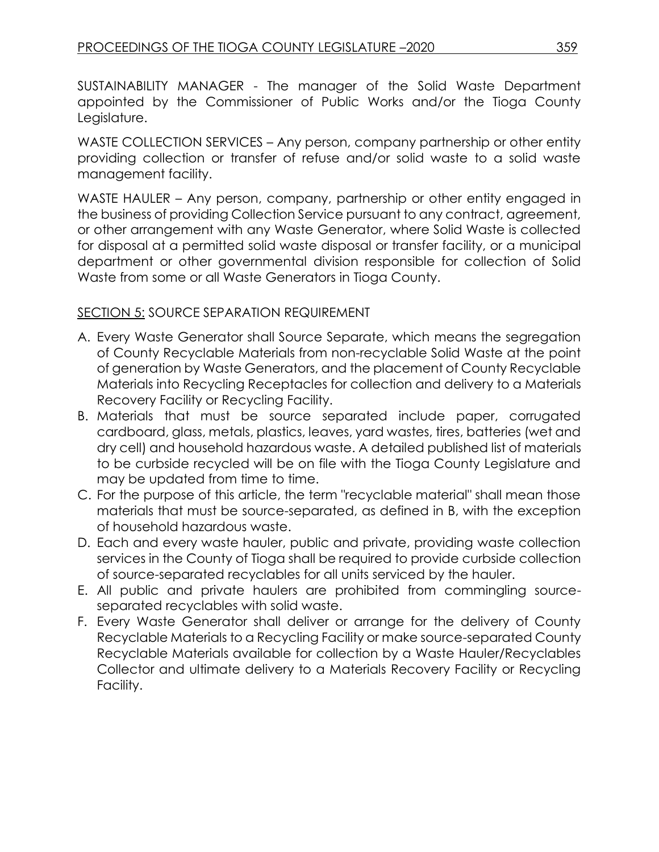SUSTAINABILITY MANAGER - The manager of the Solid Waste Department appointed by the Commissioner of Public Works and/or the Tioga County Legislature.

WASTE COLLECTION SERVICES – Any person, company partnership or other entity providing collection or transfer of refuse and/or solid waste to a solid waste management facility.

WASTE HAULER – Any person, company, partnership or other entity engaged in the business of providing Collection Service pursuant to any contract, agreement, or other arrangement with any Waste Generator, where Solid Waste is collected for disposal at a permitted solid waste disposal or transfer facility, or a municipal department or other governmental division responsible for collection of Solid Waste from some or all Waste Generators in Tioga County.

### SECTION 5: SOURCE SEPARATION REQUIREMENT

- A. Every Waste Generator shall Source Separate, which means the segregation of County Recyclable Materials from non-recyclable Solid Waste at the point of generation by Waste Generators, and the placement of County Recyclable Materials into Recycling Receptacles for collection and delivery to a Materials Recovery Facility or Recycling Facility.
- B. Materials that must be source separated include paper, corrugated cardboard, glass, metals, plastics, leaves, yard wastes, tires, batteries (wet and dry cell) and household hazardous waste. A detailed published list of materials to be curbside recycled will be on file with the Tioga County Legislature and may be updated from time to time.
- C. For the purpose of this article, the term "recyclable material" shall mean those materials that must be source-separated, as defined in B, with the exception of household hazardous waste.
- D. Each and every waste hauler, public and private, providing waste collection services in the County of Tioga shall be required to provide curbside collection of source-separated recyclables for all units serviced by the hauler.
- E. All public and private haulers are prohibited from commingling sourceseparated recyclables with solid waste.
- F. Every Waste Generator shall deliver or arrange for the delivery of County Recyclable Materials to a Recycling Facility or make source-separated County Recyclable Materials available for collection by a Waste Hauler/Recyclables Collector and ultimate delivery to a Materials Recovery Facility or Recycling Facility.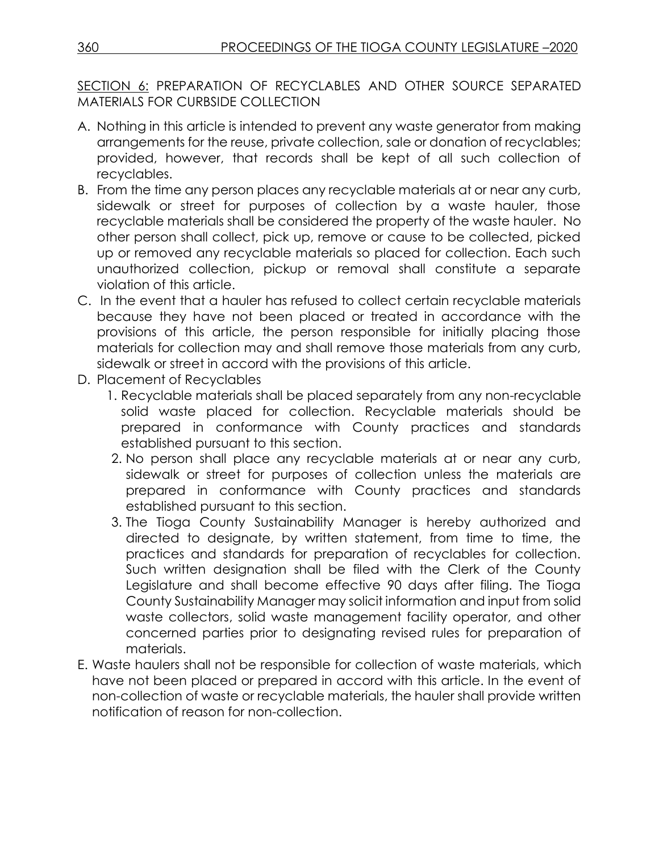SECTION 6: PREPARATION OF RECYCLABLES AND OTHER SOURCE SEPARATED MATERIALS FOR CURBSIDE COLLECTION

- A. Nothing in this article is intended to prevent any waste generator from making arrangements for the reuse, private collection, sale or donation of recyclables; provided, however, that records shall be kept of all such collection of recyclables.
- B. From the time any person places any recyclable materials at or near any curb, sidewalk or street for purposes of collection by a waste hauler, those recyclable materials shall be considered the property of the waste hauler. No other person shall collect, pick up, remove or cause to be collected, picked up or removed any recyclable materials so placed for collection. Each such unauthorized collection, pickup or removal shall constitute a separate violation of this article.
- C. In the event that a hauler has refused to collect certain recyclable materials because they have not been placed or treated in accordance with the provisions of this article, the person responsible for initially placing those materials for collection may and shall remove those materials from any curb, sidewalk or street in accord with the provisions of this article.
- D. Placement of Recyclables
	- 1. Recyclable materials shall be placed separately from any non-recyclable solid waste placed for collection. Recyclable materials should be prepared in conformance with County practices and standards established pursuant to this section.
	- 2. No person shall place any recyclable materials at or near any curb, sidewalk or street for purposes of collection unless the materials are prepared in conformance with County practices and standards established pursuant to this section.
	- 3. The Tioga County Sustainability Manager is hereby authorized and directed to designate, by written statement, from time to time, the practices and standards for preparation of recyclables for collection. Such written designation shall be filed with the Clerk of the County Legislature and shall become effective 90 days after filing. The Tioga County Sustainability Manager may solicit information and input from solid waste collectors, solid waste management facility operator, and other concerned parties prior to designating revised rules for preparation of materials.
- E. Waste haulers shall not be responsible for collection of waste materials, which have not been placed or prepared in accord with this article. In the event of non-collection of waste or recyclable materials, the hauler shall provide written notification of reason for non-collection.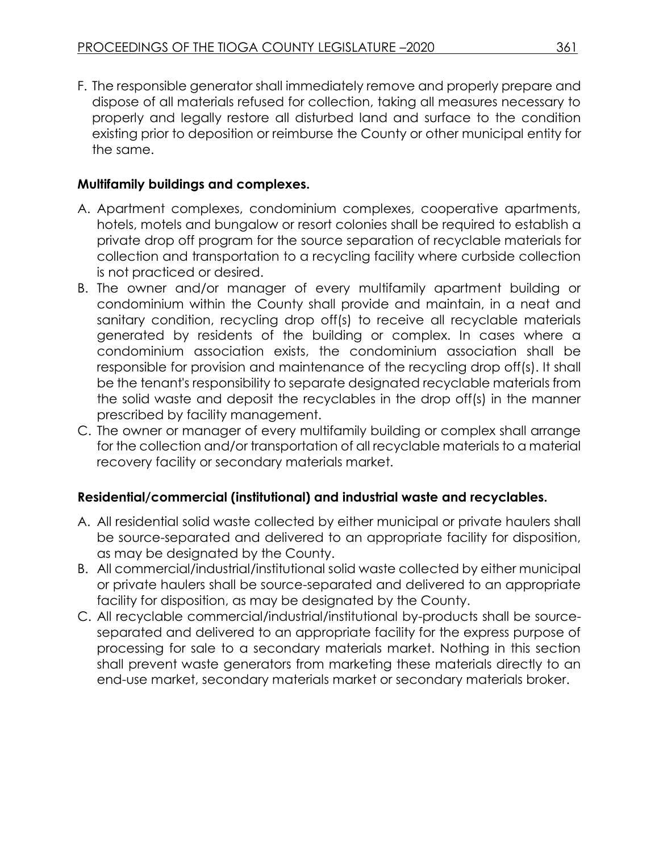F. The responsible generator shall immediately remove and properly prepare and dispose of all materials refused for collection, taking all measures necessary to properly and legally restore all disturbed land and surface to the condition existing prior to deposition or reimburse the County or other municipal entity for the same.

## **Multifamily buildings and complexes.**

- A. Apartment complexes, condominium complexes, cooperative apartments, hotels, motels and bungalow or resort colonies shall be required to establish a private drop off program for the source separation of recyclable materials for collection and transportation to a recycling facility where curbside collection is not practiced or desired.
- B. The owner and/or manager of every multifamily apartment building or condominium within the County shall provide and maintain, in a neat and sanitary condition, recycling drop off(s) to receive all recyclable materials generated by residents of the building or complex. In cases where a condominium association exists, the condominium association shall be responsible for provision and maintenance of the recycling drop off(s). It shall be the tenant's responsibility to separate designated recyclable materials from the solid waste and deposit the recyclables in the drop off(s) in the manner prescribed by facility management.
- C. The owner or manager of every multifamily building or complex shall arrange for the collection and/or transportation of all recyclable materials to a material recovery facility or secondary materials market.

## **Residential/commercial (institutional) and industrial waste and recyclables.**

- A. All residential solid waste collected by either municipal or private haulers shall be source-separated and delivered to an appropriate facility for disposition, as may be designated by the County.
- B. All commercial/industrial/institutional solid waste collected by either municipal or private haulers shall be source-separated and delivered to an appropriate facility for disposition, as may be designated by the County.
- C. All recyclable commercial/industrial/institutional by-products shall be sourceseparated and delivered to an appropriate facility for the express purpose of processing for sale to a secondary materials market. Nothing in this section shall prevent waste generators from marketing these materials directly to an end-use market, secondary materials market or secondary materials broker.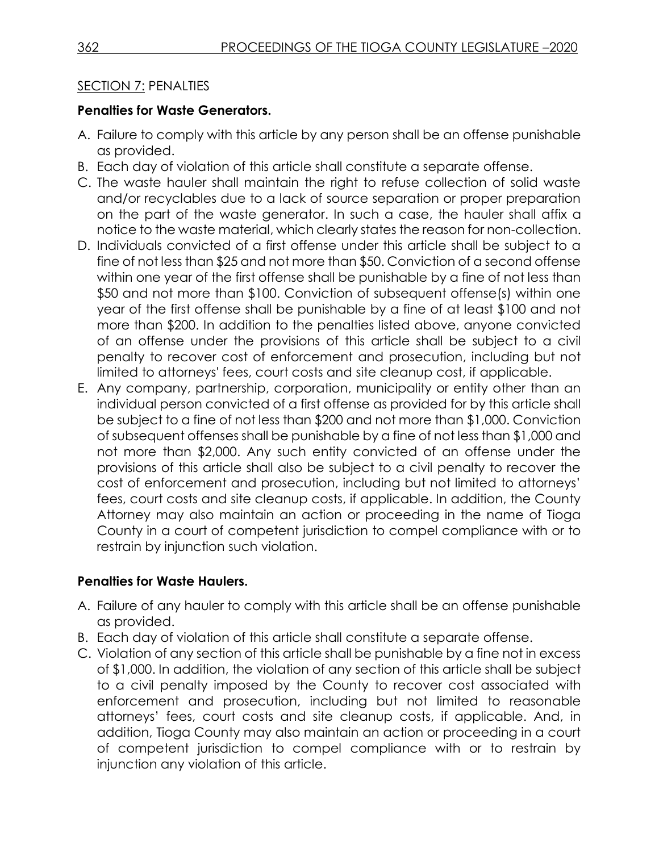## SECTION 7: PENALTIES

## **Penalties for Waste Generators.**

- A. Failure to comply with this article by any person shall be an offense punishable as provided.
- B. Each day of violation of this article shall constitute a separate offense.
- C. The waste hauler shall maintain the right to refuse collection of solid waste and/or recyclables due to a lack of source separation or proper preparation on the part of the waste generator. In such a case, the hauler shall affix a notice to the waste material, which clearly states the reason for non-collection.
- D. Individuals convicted of a first offense under this article shall be subject to a fine of not less than \$25 and not more than \$50. Conviction of a second offense within one year of the first offense shall be punishable by a fine of not less than \$50 and not more than \$100. Conviction of subsequent offense(s) within one year of the first offense shall be punishable by a fine of at least \$100 and not more than \$200. In addition to the penalties listed above, anyone convicted of an offense under the provisions of this article shall be subject to a civil penalty to recover cost of enforcement and prosecution, including but not limited to attorneys' fees, court costs and site cleanup cost, if applicable.
- E. Any company, partnership, corporation, municipality or entity other than an individual person convicted of a first offense as provided for by this article shall be subject to a fine of not less than \$200 and not more than \$1,000. Conviction of subsequent offenses shall be punishable by a fine of not less than \$1,000 and not more than \$2,000. Any such entity convicted of an offense under the provisions of this article shall also be subject to a civil penalty to recover the cost of enforcement and prosecution, including but not limited to attorneys' fees, court costs and site cleanup costs, if applicable. In addition, the County Attorney may also maintain an action or proceeding in the name of Tioga County in a court of competent jurisdiction to compel compliance with or to restrain by injunction such violation.

## **Penalties for Waste Haulers.**

- A. Failure of any hauler to comply with this article shall be an offense punishable as provided.
- B. Each day of violation of this article shall constitute a separate offense.
- C. Violation of any section of this article shall be punishable by a fine not in excess of \$1,000. In addition, the violation of any section of this article shall be subject to a civil penalty imposed by the County to recover cost associated with enforcement and prosecution, including but not limited to reasonable attorneys' fees, court costs and site cleanup costs, if applicable. And, in addition, Tioga County may also maintain an action or proceeding in a court of competent jurisdiction to compel compliance with or to restrain by injunction any violation of this article.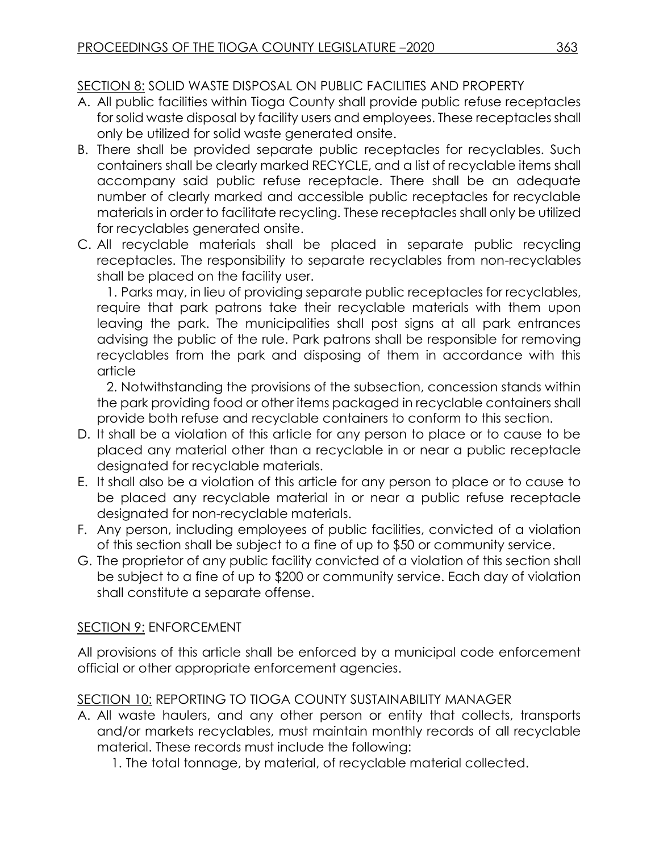SECTION 8: SOLID WASTE DISPOSAL ON PUBLIC FACILITIES AND PROPERTY

- A. All public facilities within Tioga County shall provide public refuse receptacles for solid waste disposal by facility users and employees. These receptacles shall only be utilized for solid waste generated onsite.
- B. There shall be provided separate public receptacles for recyclables. Such containers shall be clearly marked RECYCLE, and a list of recyclable items shall accompany said public refuse receptacle. There shall be an adequate number of clearly marked and accessible public receptacles for recyclable materials in order to facilitate recycling. These receptacles shall only be utilized for recyclables generated onsite.
- C. All recyclable materials shall be placed in separate public recycling receptacles. The responsibility to separate recyclables from non-recyclables shall be placed on the facility user.

1. Parks may, in lieu of providing separate public receptacles for recyclables, require that park patrons take their recyclable materials with them upon leaving the park. The municipalities shall post signs at all park entrances advising the public of the rule. Park patrons shall be responsible for removing recyclables from the park and disposing of them in accordance with this article

2. Notwithstanding the provisions of the subsection, concession stands within the park providing food or other items packaged in recyclable containers shall provide both refuse and recyclable containers to conform to this section.

- D. It shall be a violation of this article for any person to place or to cause to be placed any material other than a recyclable in or near a public receptacle designated for recyclable materials.
- E. It shall also be a violation of this article for any person to place or to cause to be placed any recyclable material in or near a public refuse receptacle designated for non-recyclable materials.
- F. Any person, including employees of public facilities, convicted of a violation of this section shall be subject to a fine of up to \$50 or community service.
- G. The proprietor of any public facility convicted of a violation of this section shall be subject to a fine of up to \$200 or community service. Each day of violation shall constitute a separate offense.

# SECTION 9: ENFORCEMENT

All provisions of this article shall be enforced by a municipal code enforcement official or other appropriate enforcement agencies.

## SECTION 10: REPORTING TO TIOGA COUNTY SUSTAINABILITY MANAGER

A. All waste haulers, and any other person or entity that collects, transports and/or markets recyclables, must maintain monthly records of all recyclable material. These records must include the following:

1. The total tonnage, by material, of recyclable material collected.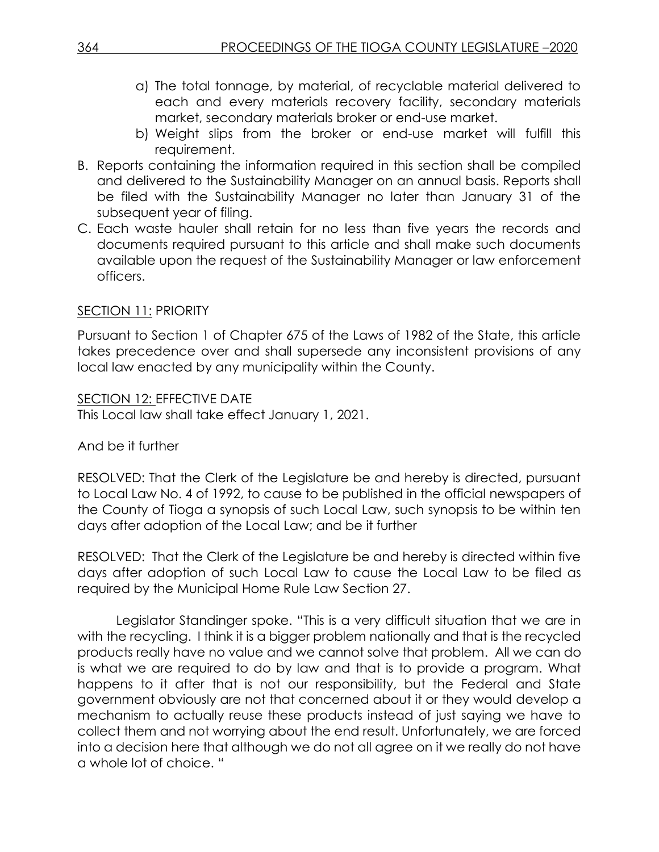- a) The total tonnage, by material, of recyclable material delivered to each and every materials recovery facility, secondary materials market, secondary materials broker or end-use market.
- b) Weight slips from the broker or end-use market will fulfill this requirement.
- B. Reports containing the information required in this section shall be compiled and delivered to the Sustainability Manager on an annual basis. Reports shall be filed with the Sustainability Manager no later than January 31 of the subsequent year of filing.
- C. Each waste hauler shall retain for no less than five years the records and documents required pursuant to this article and shall make such documents available upon the request of the Sustainability Manager or law enforcement officers.

### **SECTION 11: PRIORITY**

Pursuant to Section 1 of Chapter 675 of the Laws of 1982 of the State, this article takes precedence over and shall supersede any inconsistent provisions of any local law enacted by any municipality within the County.

#### SECTION 12: EFFECTIVE DATE

This Local law shall take effect January 1, 2021.

#### And be it further

RESOLVED: That the Clerk of the Legislature be and hereby is directed, pursuant to Local Law No. 4 of 1992, to cause to be published in the official newspapers of the County of Tioga a synopsis of such Local Law, such synopsis to be within ten days after adoption of the Local Law; and be it further

RESOLVED: That the Clerk of the Legislature be and hereby is directed within five days after adoption of such Local Law to cause the Local Law to be filed as required by the Municipal Home Rule Law Section 27.

Legislator Standinger spoke. "This is a very difficult situation that we are in with the recycling. I think it is a bigger problem nationally and that is the recycled products really have no value and we cannot solve that problem. All we can do is what we are required to do by law and that is to provide a program. What happens to it after that is not our responsibility, but the Federal and State government obviously are not that concerned about it or they would develop a mechanism to actually reuse these products instead of just saying we have to collect them and not worrying about the end result. Unfortunately, we are forced into a decision here that although we do not all agree on it we really do not have a whole lot of choice. "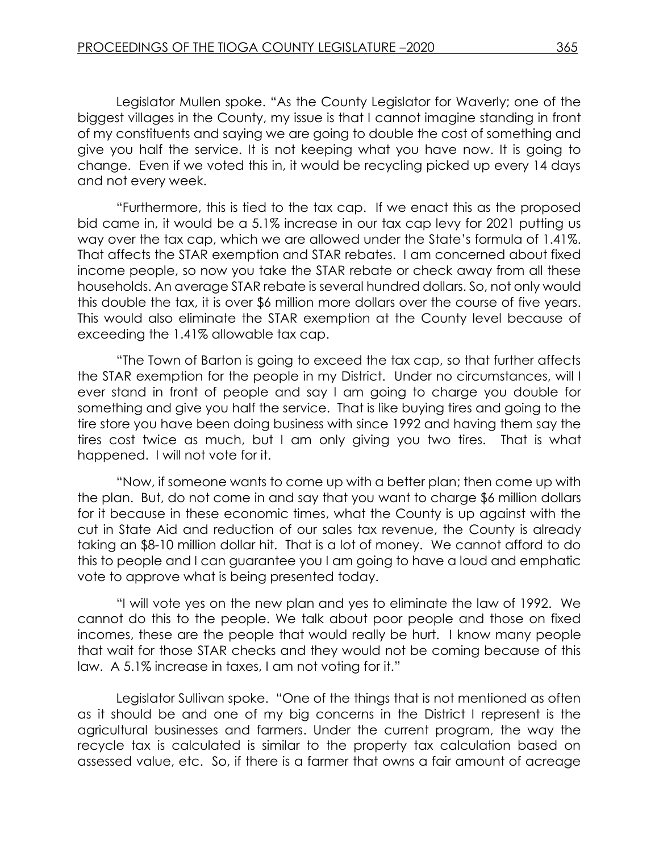Legislator Mullen spoke. "As the County Legislator for Waverly; one of the biggest villages in the County, my issue is that I cannot imagine standing in front of my constituents and saying we are going to double the cost of something and give you half the service. It is not keeping what you have now. It is going to change. Even if we voted this in, it would be recycling picked up every 14 days and not every week.

"Furthermore, this is tied to the tax cap. If we enact this as the proposed bid came in, it would be a 5.1% increase in our tax cap levy for 2021 putting us way over the tax cap, which we are allowed under the State's formula of 1.41%. That affects the STAR exemption and STAR rebates. I am concerned about fixed income people, so now you take the STAR rebate or check away from all these households. An average STAR rebate is several hundred dollars. So, not only would this double the tax, it is over \$6 million more dollars over the course of five years. This would also eliminate the STAR exemption at the County level because of exceeding the 1.41% allowable tax cap.

"The Town of Barton is going to exceed the tax cap, so that further affects the STAR exemption for the people in my District. Under no circumstances, will I ever stand in front of people and say I am going to charge you double for something and give you half the service. That is like buying tires and going to the tire store you have been doing business with since 1992 and having them say the tires cost twice as much, but I am only giving you two tires. That is what happened. I will not vote for it.

"Now, if someone wants to come up with a better plan; then come up with the plan. But, do not come in and say that you want to charge \$6 million dollars for it because in these economic times, what the County is up against with the cut in State Aid and reduction of our sales tax revenue, the County is already taking an \$8-10 million dollar hit. That is a lot of money. We cannot afford to do this to people and I can guarantee you I am going to have a loud and emphatic vote to approve what is being presented today.

"I will vote yes on the new plan and yes to eliminate the law of 1992. We cannot do this to the people. We talk about poor people and those on fixed incomes, these are the people that would really be hurt. I know many people that wait for those STAR checks and they would not be coming because of this law. A 5.1% increase in taxes, I am not voting for it."

Legislator Sullivan spoke. "One of the things that is not mentioned as often as it should be and one of my big concerns in the District I represent is the agricultural businesses and farmers. Under the current program, the way the recycle tax is calculated is similar to the property tax calculation based on assessed value, etc. So, if there is a farmer that owns a fair amount of acreage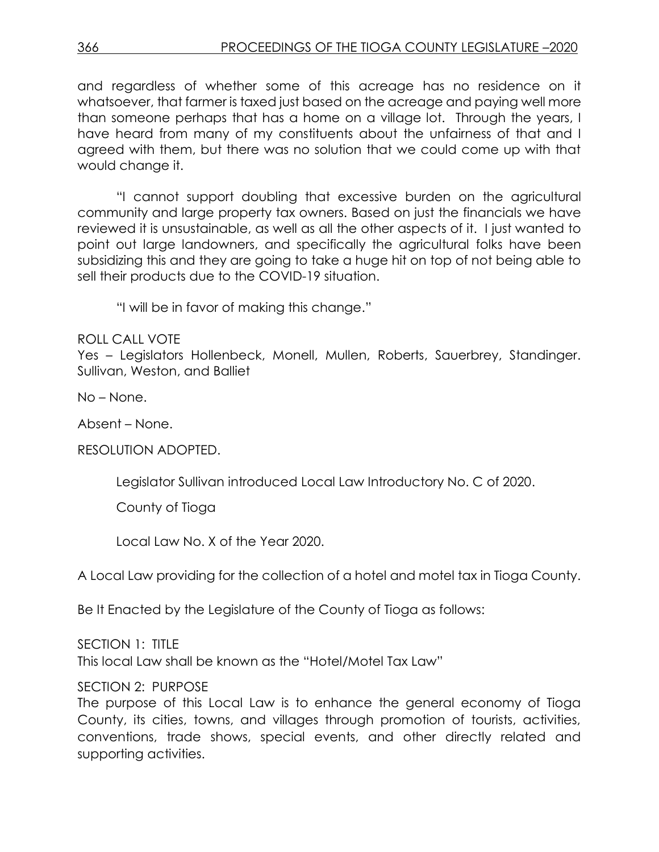and regardless of whether some of this acreage has no residence on it whatsoever, that farmer is taxed just based on the acreage and paying well more than someone perhaps that has a home on a village lot. Through the years, I have heard from many of my constituents about the unfairness of that and I agreed with them, but there was no solution that we could come up with that would change it.

"I cannot support doubling that excessive burden on the agricultural community and large property tax owners. Based on just the financials we have reviewed it is unsustainable, as well as all the other aspects of it. I just wanted to point out large landowners, and specifically the agricultural folks have been subsidizing this and they are going to take a huge hit on top of not being able to sell their products due to the COVID-19 situation.

"I will be in favor of making this change."

#### ROLL CALL VOTE

Yes – Legislators Hollenbeck, Monell, Mullen, Roberts, Sauerbrey, Standinger. Sullivan, Weston, and Balliet

No – None.

Absent – None.

RESOLUTION ADOPTED.

Legislator Sullivan introduced Local Law Introductory No. C of 2020.

County of Tioga

Local Law No. X of the Year 2020.

A Local Law providing for the collection of a hotel and motel tax in Tioga County.

Be It Enacted by the Legislature of the County of Tioga as follows:

SECTION 1: TITLE

This local Law shall be known as the "Hotel/Motel Tax Law"

SECTION 2: PURPOSE

The purpose of this Local Law is to enhance the general economy of Tioga County, its cities, towns, and villages through promotion of tourists, activities, conventions, trade shows, special events, and other directly related and supporting activities.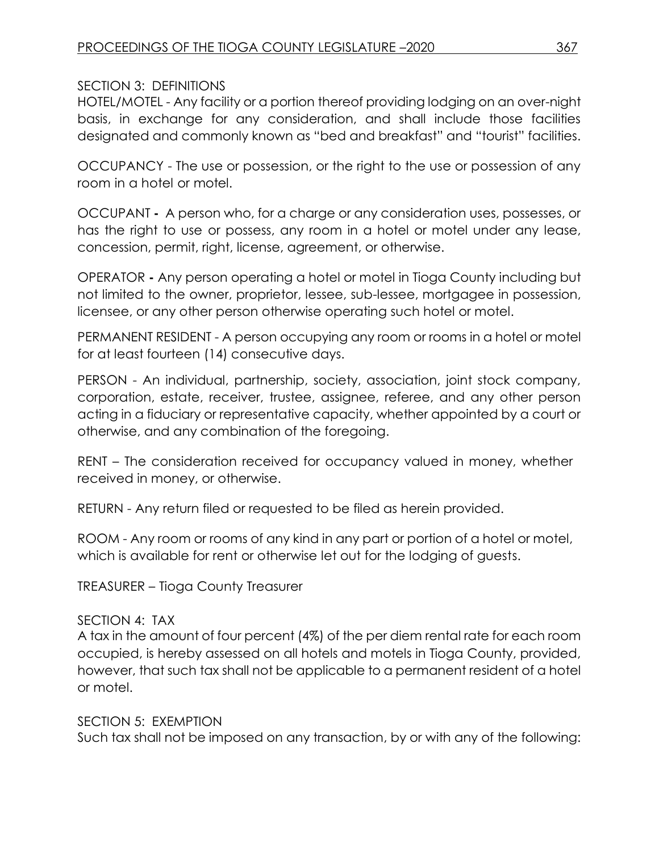## SECTION 3: DEFINITIONS

HOTEL/MOTEL - Any facility or a portion thereof providing lodging on an over-night basis, in exchange for any consideration, and shall include those facilities designated and commonly known as "bed and breakfast" and "tourist" facilities.

OCCUPANCY - The use or possession, or the right to the use or possession of any room in a hotel or motel.

OCCUPANT **-** A person who, for a charge or any consideration uses, possesses, or has the right to use or possess, any room in a hotel or motel under any lease, concession, permit, right, license, agreement, or otherwise.

OPERATOR **-** Any person operating a hotel or motel in Tioga County including but not limited to the owner, proprietor, lessee, sub-lessee, mortgagee in possession, licensee, or any other person otherwise operating such hotel or motel.

PERMANENT RESIDENT - A person occupying any room or rooms in a hotel or motel for at least fourteen (14) consecutive days.

PERSON - An individual, partnership, society, association, joint stock company, corporation, estate, receiver, trustee, assignee, referee, and any other person acting in a fiduciary or representative capacity, whether appointed by a court or otherwise, and any combination of the foregoing.

RENT – The consideration received for occupancy valued in money, whether received in money, or otherwise.

RETURN - Any return filed or requested to be filed as herein provided.

ROOM - Any room or rooms of any kind in any part or portion of a hotel or motel, which is available for rent or otherwise let out for the lodging of guests.

TREASURER – Tioga County Treasurer

## SECTION 4: TAX

A tax in the amount of four percent (4%) of the per diem rental rate for each room occupied, is hereby assessed on all hotels and motels in Tioga County, provided, however, that such tax shall not be applicable to a permanent resident of a hotel or motel.

## SECTION 5: EXEMPTION

Such tax shall not be imposed on any transaction, by or with any of the following: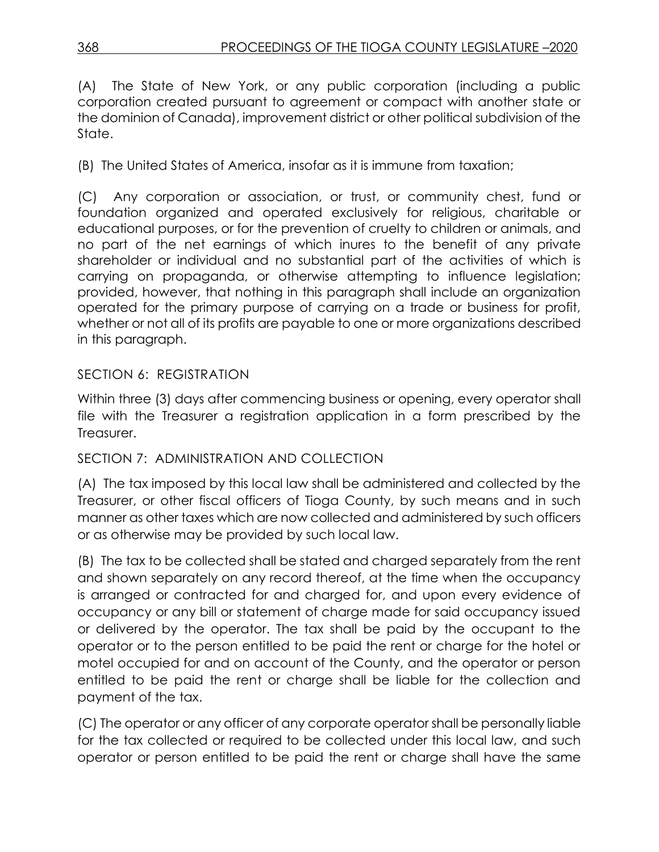(A) The State of New York, or any public corporation (including a public corporation created pursuant to agreement or compact with another state or the dominion of Canada), improvement district or other political subdivision of the State.

(B) The United States of America, insofar as it is immune from taxation;

(C) Any corporation or association, or trust, or community chest, fund or foundation organized and operated exclusively for religious, charitable or educational purposes, or for the prevention of cruelty to children or animals, and no part of the net earnings of which inures to the benefit of any private shareholder or individual and no substantial part of the activities of which is carrying on propaganda, or otherwise attempting to influence legislation; provided, however, that nothing in this paragraph shall include an organization operated for the primary purpose of carrying on a trade or business for profit, whether or not all of its profits are payable to one or more organizations described in this paragraph.

## SECTION 6: REGISTRATION

Within three (3) days after commencing business or opening, every operator shall file with the Treasurer a registration application in a form prescribed by the Treasurer.

## SECTION 7: ADMINISTRATION AND COLLECTION

(A) The tax imposed by this local law shall be administered and collected by the Treasurer, or other fiscal officers of Tioga County, by such means and in such manner as other taxes which are now collected and administered by such officers or as otherwise may be provided by such local law.

(B) The tax to be collected shall be stated and charged separately from the rent and shown separately on any record thereof, at the time when the occupancy is arranged or contracted for and charged for, and upon every evidence of occupancy or any bill or statement of charge made for said occupancy issued or delivered by the operator. The tax shall be paid by the occupant to the operator or to the person entitled to be paid the rent or charge for the hotel or motel occupied for and on account of the County, and the operator or person entitled to be paid the rent or charge shall be liable for the collection and payment of the tax.

(C) The operator or any officer of any corporate operator shall be personally liable for the tax collected or required to be collected under this local law, and such operator or person entitled to be paid the rent or charge shall have the same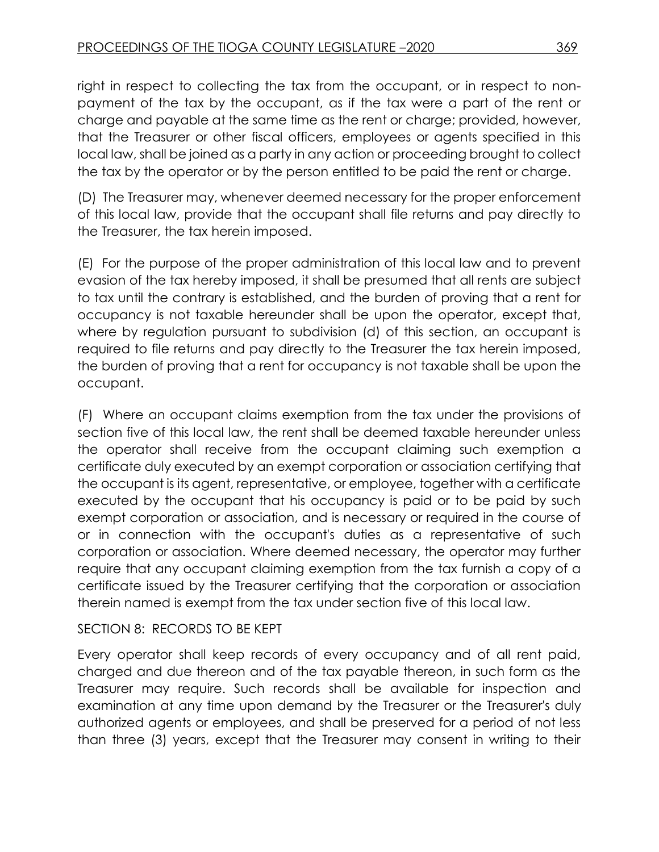right in respect to collecting the tax from the occupant, or in respect to nonpayment of the tax by the occupant, as if the tax were a part of the rent or charge and payable at the same time as the rent or charge; provided, however, that the Treasurer or other fiscal officers, employees or agents specified in this local law, shall be joined as a party in any action or proceeding brought to collect the tax by the operator or by the person entitled to be paid the rent or charge.

(D) The Treasurer may, whenever deemed necessary for the proper enforcement of this local law, provide that the occupant shall file returns and pay directly to the Treasurer, the tax herein imposed.

(E) For the purpose of the proper administration of this local law and to prevent evasion of the tax hereby imposed, it shall be presumed that all rents are subject to tax until the contrary is established, and the burden of proving that a rent for occupancy is not taxable hereunder shall be upon the operator, except that, where by regulation pursuant to subdivision (d) of this section, an occupant is required to file returns and pay directly to the Treasurer the tax herein imposed, the burden of proving that a rent for occupancy is not taxable shall be upon the occupant.

(F) Where an occupant claims exemption from the tax under the provisions of section five of this local law, the rent shall be deemed taxable hereunder unless the operator shall receive from the occupant claiming such exemption a certificate duly executed by an exempt corporation or association certifying that the occupant is its agent, representative, or employee, together with a certificate executed by the occupant that his occupancy is paid or to be paid by such exempt corporation or association, and is necessary or required in the course of or in connection with the occupant's duties as a representative of such corporation or association. Where deemed necessary, the operator may further require that any occupant claiming exemption from the tax furnish a copy of a certificate issued by the Treasurer certifying that the corporation or association therein named is exempt from the tax under section five of this local law.

## SECTION 8: RECORDS TO BE KEPT

Every operator shall keep records of every occupancy and of all rent paid, charged and due thereon and of the tax payable thereon, in such form as the Treasurer may require. Such records shall be available for inspection and examination at any time upon demand by the Treasurer or the Treasurer's duly authorized agents or employees, and shall be preserved for a period of not less than three (3) years, except that the Treasurer may consent in writing to their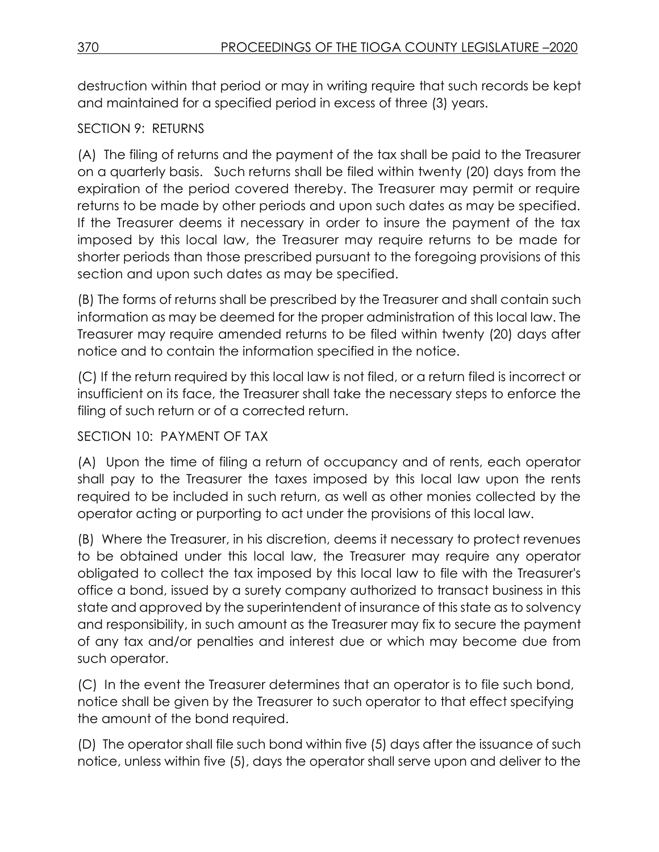destruction within that period or may in writing require that such records be kept and maintained for a specified period in excess of three (3) years.

## SECTION 9: RETURNS

(A) The filing of returns and the payment of the tax shall be paid to the Treasurer on a quarterly basis. Such returns shall be filed within twenty (20) days from the expiration of the period covered thereby. The Treasurer may permit or require returns to be made by other periods and upon such dates as may be specified. If the Treasurer deems it necessary in order to insure the payment of the tax imposed by this local law, the Treasurer may require returns to be made for shorter periods than those prescribed pursuant to the foregoing provisions of this section and upon such dates as may be specified.

(B) The forms of returns shall be prescribed by the Treasurer and shall contain such information as may be deemed for the proper administration of this local law. The Treasurer may require amended returns to be filed within twenty (20) days after notice and to contain the information specified in the notice.

(C) If the return required by this local law is not filed, or a return filed is incorrect or insufficient on its face, the Treasurer shall take the necessary steps to enforce the filing of such return or of a corrected return.

# SECTION 10: PAYMENT OF TAX

(A) Upon the time of filing a return of occupancy and of rents, each operator shall pay to the Treasurer the taxes imposed by this local law upon the rents required to be included in such return, as well as other monies collected by the operator acting or purporting to act under the provisions of this local law.

(B) Where the Treasurer, in his discretion, deems it necessary to protect revenues to be obtained under this local law, the Treasurer may require any operator obligated to collect the tax imposed by this local law to file with the Treasurer's office a bond, issued by a surety company authorized to transact business in this state and approved by the superintendent of insurance of this state as to solvency and responsibility, in such amount as the Treasurer may fix to secure the payment of any tax and/or penalties and interest due or which may become due from such operator.

(C) In the event the Treasurer determines that an operator is to file such bond, notice shall be given by the Treasurer to such operator to that effect specifying the amount of the bond required.

(D) The operator shall file such bond within five (5) days after the issuance of such notice, unless within five (5), days the operator shall serve upon and deliver to the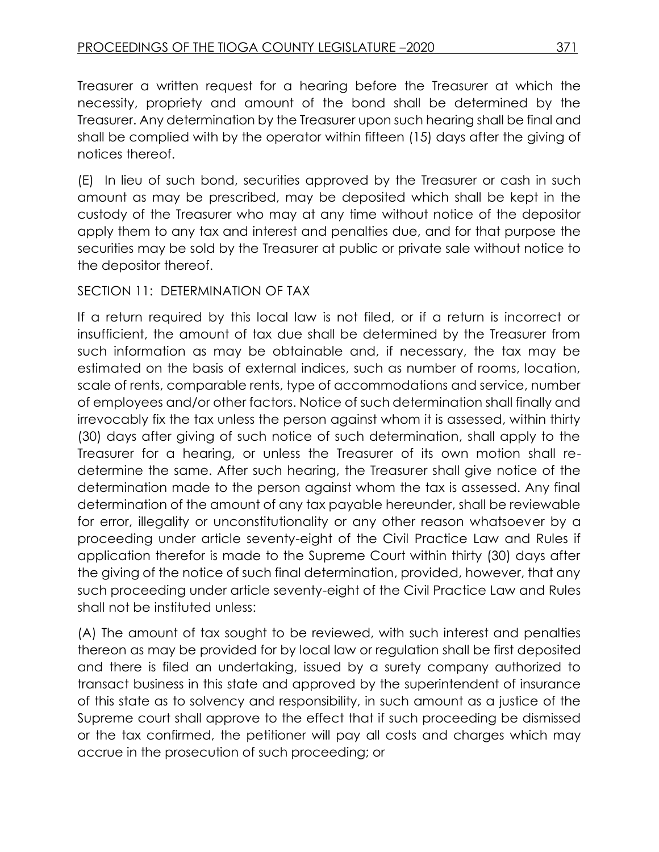Treasurer a written request for a hearing before the Treasurer at which the necessity, propriety and amount of the bond shall be determined by the Treasurer. Any determination by the Treasurer upon such hearing shall be final and shall be complied with by the operator within fifteen (15) days after the giving of notices thereof.

(E) In lieu of such bond, securities approved by the Treasurer or cash in such amount as may be prescribed, may be deposited which shall be kept in the custody of the Treasurer who may at any time without notice of the depositor apply them to any tax and interest and penalties due, and for that purpose the securities may be sold by the Treasurer at public or private sale without notice to the depositor thereof.

## SECTION 11: DETERMINATION OF TAX

If a return required by this local law is not filed, or if a return is incorrect or insufficient, the amount of tax due shall be determined by the Treasurer from such information as may be obtainable and, if necessary, the tax may be estimated on the basis of external indices, such as number of rooms, location, scale of rents, comparable rents, type of accommodations and service, number of employees and/or other factors. Notice of such determination shall finally and irrevocably fix the tax unless the person against whom it is assessed, within thirty (30) days after giving of such notice of such determination, shall apply to the Treasurer for a hearing, or unless the Treasurer of its own motion shall redetermine the same. After such hearing, the Treasurer shall give notice of the determination made to the person against whom the tax is assessed. Any final determination of the amount of any tax payable hereunder, shall be reviewable for error, illegality or unconstitutionality or any other reason whatsoever by a proceeding under article seventy-eight of the Civil Practice Law and Rules if application therefor is made to the Supreme Court within thirty (30) days after the giving of the notice of such final determination, provided, however, that any such proceeding under article seventy-eight of the Civil Practice Law and Rules shall not be instituted unless:

(A) The amount of tax sought to be reviewed, with such interest and penalties thereon as may be provided for by local law or regulation shall be first deposited and there is filed an undertaking, issued by a surety company authorized to transact business in this state and approved by the superintendent of insurance of this state as to solvency and responsibility, in such amount as a justice of the Supreme court shall approve to the effect that if such proceeding be dismissed or the tax confirmed, the petitioner will pay all costs and charges which may accrue in the prosecution of such proceeding; or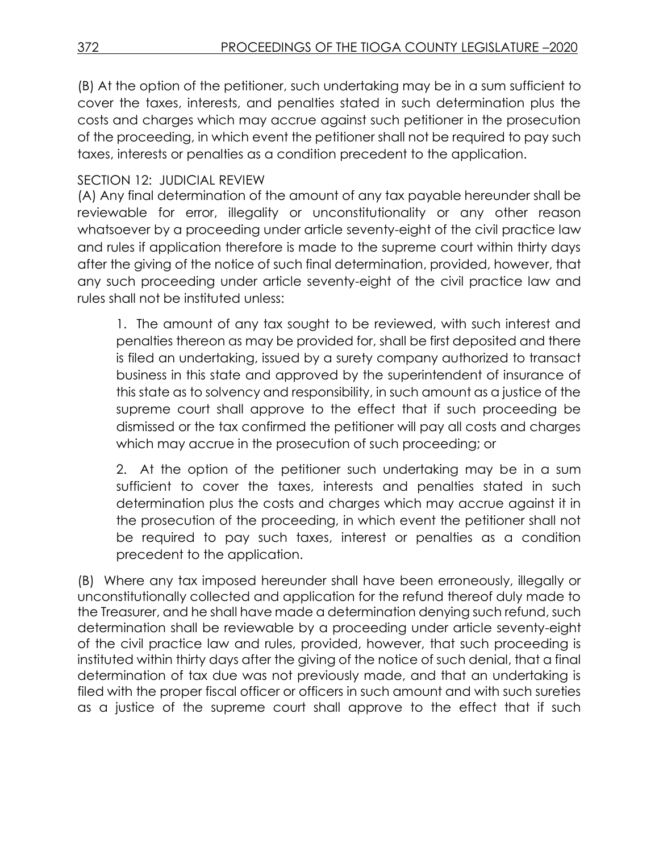(B) At the option of the petitioner, such undertaking may be in a sum sufficient to cover the taxes, interests, and penalties stated in such determination plus the costs and charges which may accrue against such petitioner in the prosecution of the proceeding, in which event the petitioner shall not be required to pay such taxes, interests or penalties as a condition precedent to the application.

# SECTION 12: JUDICIAL REVIEW

(A) Any final determination of the amount of any tax payable hereunder shall be reviewable for error, illegality or unconstitutionality or any other reason whatsoever by a proceeding under article seventy-eight of the civil practice law and rules if application therefore is made to the supreme court within thirty days after the giving of the notice of such final determination, provided, however, that any such proceeding under article seventy-eight of the civil practice law and rules shall not be instituted unless:

1. The amount of any tax sought to be reviewed, with such interest and penalties thereon as may be provided for, shall be first deposited and there is filed an undertaking, issued by a surety company authorized to transact business in this state and approved by the superintendent of insurance of this state as to solvency and responsibility, in such amount as a justice of the supreme court shall approve to the effect that if such proceeding be dismissed or the tax confirmed the petitioner will pay all costs and charges which may accrue in the prosecution of such proceeding; or

2. At the option of the petitioner such undertaking may be in a sum sufficient to cover the taxes, interests and penalties stated in such determination plus the costs and charges which may accrue against it in the prosecution of the proceeding, in which event the petitioner shall not be required to pay such taxes, interest or penalties as a condition precedent to the application.

(B) Where any tax imposed hereunder shall have been erroneously, illegally or unconstitutionally collected and application for the refund thereof duly made to the Treasurer, and he shall have made a determination denying such refund, such determination shall be reviewable by a proceeding under article seventy-eight of the civil practice law and rules, provided, however, that such proceeding is instituted within thirty days after the giving of the notice of such denial, that a final determination of tax due was not previously made, and that an undertaking is filed with the proper fiscal officer or officers in such amount and with such sureties as a justice of the supreme court shall approve to the effect that if such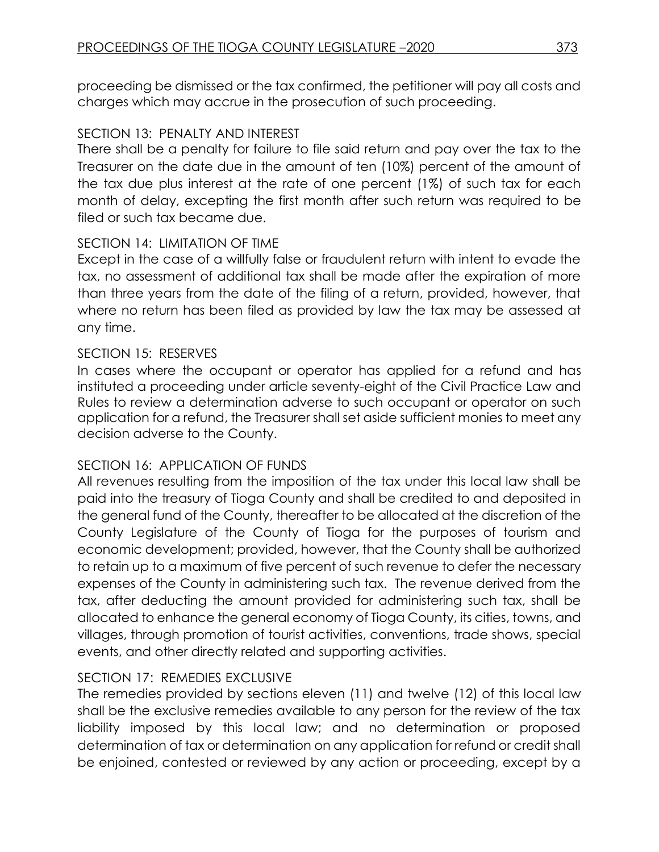proceeding be dismissed or the tax confirmed, the petitioner will pay all costs and charges which may accrue in the prosecution of such proceeding.

### SECTION 13: PENALTY AND INTEREST

There shall be a penalty for failure to file said return and pay over the tax to the Treasurer on the date due in the amount of ten (10%) percent of the amount of the tax due plus interest at the rate of one percent (1%) of such tax for each month of delay, excepting the first month after such return was required to be filed or such tax became due.

#### SECTION 14: LIMITATION OF TIME

Except in the case of a willfully false or fraudulent return with intent to evade the tax, no assessment of additional tax shall be made after the expiration of more than three years from the date of the filing of a return, provided, however, that where no return has been filed as provided by law the tax may be assessed at any time.

#### SECTION 15: RESERVES

In cases where the occupant or operator has applied for a refund and has instituted a proceeding under article seventy-eight of the Civil Practice Law and Rules to review a determination adverse to such occupant or operator on such application for a refund, the Treasurer shall set aside sufficient monies to meet any decision adverse to the County.

## SECTION 16: APPLICATION OF FUNDS

All revenues resulting from the imposition of the tax under this local law shall be paid into the treasury of Tioga County and shall be credited to and deposited in the general fund of the County, thereafter to be allocated at the discretion of the County Legislature of the County of Tioga for the purposes of tourism and economic development; provided, however, that the County shall be authorized to retain up to a maximum of five percent of such revenue to defer the necessary expenses of the County in administering such tax. The revenue derived from the tax, after deducting the amount provided for administering such tax, shall be allocated to enhance the general economy of Tioga County, its cities, towns, and villages, through promotion of tourist activities, conventions, trade shows, special events, and other directly related and supporting activities.

## SECTION 17: REMEDIES EXCLUSIVE

The remedies provided by sections eleven (11) and twelve (12) of this local law shall be the exclusive remedies available to any person for the review of the tax liability imposed by this local law; and no determination or proposed determination of tax or determination on any application for refund or credit shall be enjoined, contested or reviewed by any action or proceeding, except by a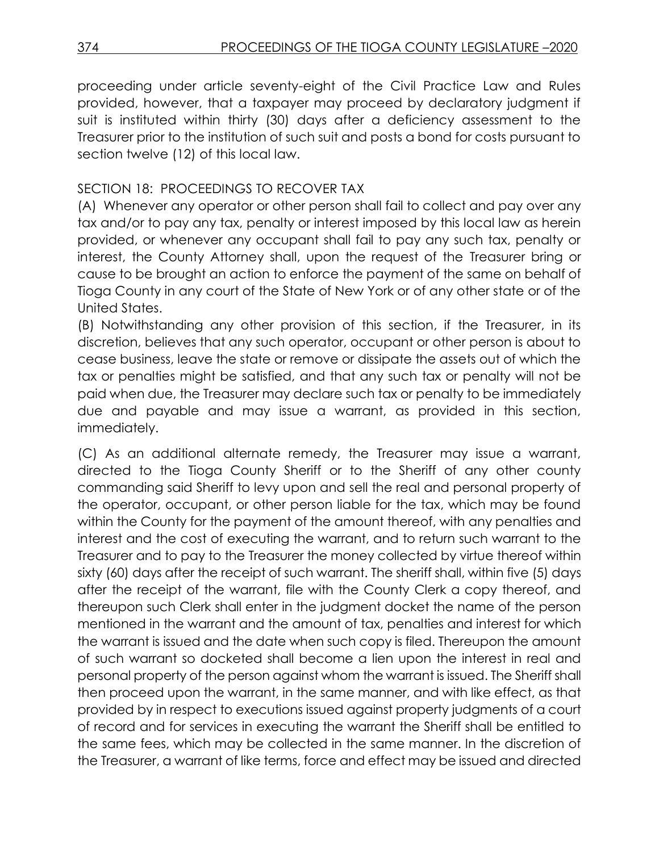proceeding under article seventy-eight of the Civil Practice Law and Rules provided, however, that a taxpayer may proceed by declaratory judgment if suit is instituted within thirty (30) days after a deficiency assessment to the Treasurer prior to the institution of such suit and posts a bond for costs pursuant to section twelve (12) of this local law.

### SECTION 18: PROCEEDINGS TO RECOVER TAX

(A) Whenever any operator or other person shall fail to collect and pay over any tax and/or to pay any tax, penalty or interest imposed by this local law as herein provided, or whenever any occupant shall fail to pay any such tax, penalty or interest, the County Attorney shall, upon the request of the Treasurer bring or cause to be brought an action to enforce the payment of the same on behalf of Tioga County in any court of the State of New York or of any other state or of the United States.

(B) Notwithstanding any other provision of this section, if the Treasurer, in its discretion, believes that any such operator, occupant or other person is about to cease business, leave the state or remove or dissipate the assets out of which the tax or penalties might be satisfied, and that any such tax or penalty will not be paid when due, the Treasurer may declare such tax or penalty to be immediately due and payable and may issue a warrant, as provided in this section, immediately.

(C) As an additional alternate remedy, the Treasurer may issue a warrant, directed to the Tioga County Sheriff or to the Sheriff of any other county commanding said Sheriff to levy upon and sell the real and personal property of the operator, occupant, or other person liable for the tax, which may be found within the County for the payment of the amount thereof, with any penalties and interest and the cost of executing the warrant, and to return such warrant to the Treasurer and to pay to the Treasurer the money collected by virtue thereof within sixty (60) days after the receipt of such warrant. The sheriff shall, within five (5) days after the receipt of the warrant, file with the County Clerk a copy thereof, and thereupon such Clerk shall enter in the judgment docket the name of the person mentioned in the warrant and the amount of tax, penalties and interest for which the warrant is issued and the date when such copy is filed. Thereupon the amount of such warrant so docketed shall become a lien upon the interest in real and personal property of the person against whom the warrant is issued. The Sheriff shall then proceed upon the warrant, in the same manner, and with like effect, as that provided by in respect to executions issued against property judgments of a court of record and for services in executing the warrant the Sheriff shall be entitled to the same fees, which may be collected in the same manner. In the discretion of the Treasurer, a warrant of like terms, force and effect may be issued and directed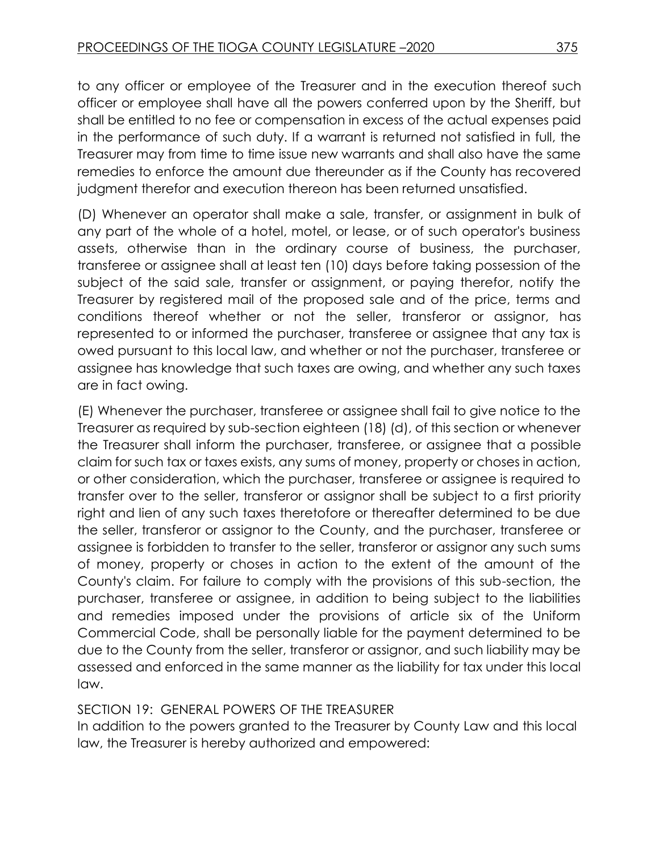to any officer or employee of the Treasurer and in the execution thereof such officer or employee shall have all the powers conferred upon by the Sheriff, but shall be entitled to no fee or compensation in excess of the actual expenses paid in the performance of such duty. If a warrant is returned not satisfied in full, the Treasurer may from time to time issue new warrants and shall also have the same remedies to enforce the amount due thereunder as if the County has recovered judgment therefor and execution thereon has been returned unsatisfied.

(D) Whenever an operator shall make a sale, transfer, or assignment in bulk of any part of the whole of a hotel, motel, or lease, or of such operator's business assets, otherwise than in the ordinary course of business, the purchaser, transferee or assignee shall at least ten (10) days before taking possession of the subject of the said sale, transfer or assignment, or paying therefor, notify the Treasurer by registered mail of the proposed sale and of the price, terms and conditions thereof whether or not the seller, transferor or assignor, has represented to or informed the purchaser, transferee or assignee that any tax is owed pursuant to this local law, and whether or not the purchaser, transferee or assignee has knowledge that such taxes are owing, and whether any such taxes are in fact owing.

(E) Whenever the purchaser, transferee or assignee shall fail to give notice to the Treasurer as required by sub-section eighteen (18) (d), of this section or whenever the Treasurer shall inform the purchaser, transferee, or assignee that a possible claim for such tax or taxes exists, any sums of money, property or choses in action, or other consideration, which the purchaser, transferee or assignee is required to transfer over to the seller, transferor or assignor shall be subject to a first priority right and lien of any such taxes theretofore or thereafter determined to be due the seller, transferor or assignor to the County, and the purchaser, transferee or assignee is forbidden to transfer to the seller, transferor or assignor any such sums of money, property or choses in action to the extent of the amount of the County's claim. For failure to comply with the provisions of this sub-section, the purchaser, transferee or assignee, in addition to being subject to the liabilities and remedies imposed under the provisions of article six of the Uniform Commercial Code, shall be personally liable for the payment determined to be due to the County from the seller, transferor or assignor, and such liability may be assessed and enforced in the same manner as the liability for tax under this local law.

## SECTION 19: GENERAL POWERS OF THE TREASURER

In addition to the powers granted to the Treasurer by County Law and this local law, the Treasurer is hereby authorized and empowered: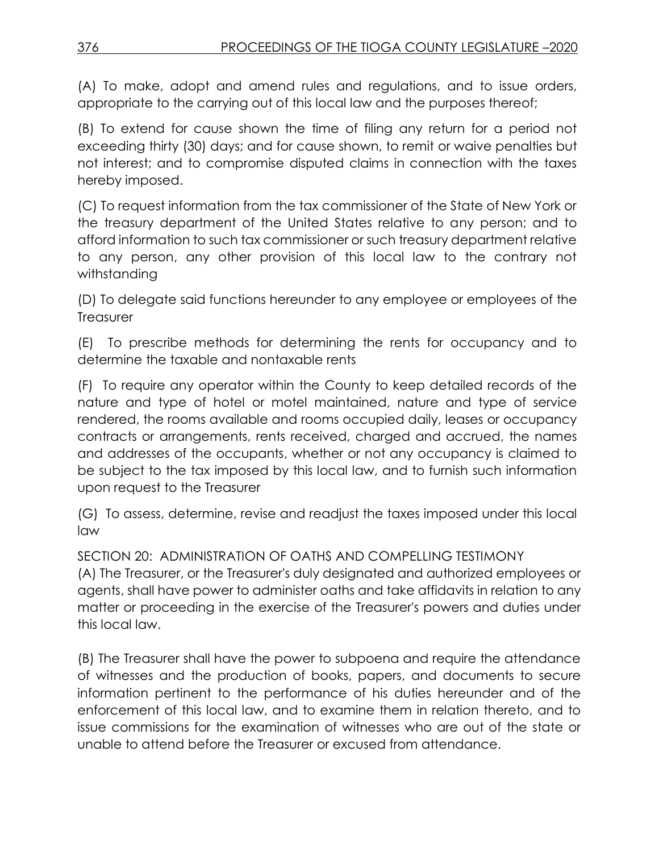(A) To make, adopt and amend rules and regulations, and to issue orders, appropriate to the carrying out of this local law and the purposes thereof;

(B) To extend for cause shown the time of filing any return for a period not exceeding thirty (30) days; and for cause shown, to remit or waive penalties but not interest; and to compromise disputed claims in connection with the taxes hereby imposed.

(C) To request information from the tax commissioner of the State of New York or the treasury department of the United States relative to any person; and to afford information to such tax commissioner or such treasury department relative to any person, any other provision of this local law to the contrary not withstanding

(D) To delegate said functions hereunder to any employee or employees of the **Treasurer** 

(E) To prescribe methods for determining the rents for occupancy and to determine the taxable and nontaxable rents

(F) To require any operator within the County to keep detailed records of the nature and type of hotel or motel maintained, nature and type of service rendered, the rooms available and rooms occupied daily, leases or occupancy contracts or arrangements, rents received, charged and accrued, the names and addresses of the occupants, whether or not any occupancy is claimed to be subject to the tax imposed by this local law, and to furnish such information upon request to the Treasurer

(G) To assess, determine, revise and readjust the taxes imposed under this local law

SECTION 20: ADMINISTRATION OF OATHS AND COMPELLING TESTIMONY

(A) The Treasurer, or the Treasurer's duly designated and authorized employees or agents, shall have power to administer oaths and take affidavits in relation to any matter or proceeding in the exercise of the Treasurer's powers and duties under this local law.

(B) The Treasurer shall have the power to subpoena and require the attendance of witnesses and the production of books, papers, and documents to secure information pertinent to the performance of his duties hereunder and of the enforcement of this local law, and to examine them in relation thereto, and to issue commissions for the examination of witnesses who are out of the state or unable to attend before the Treasurer or excused from attendance.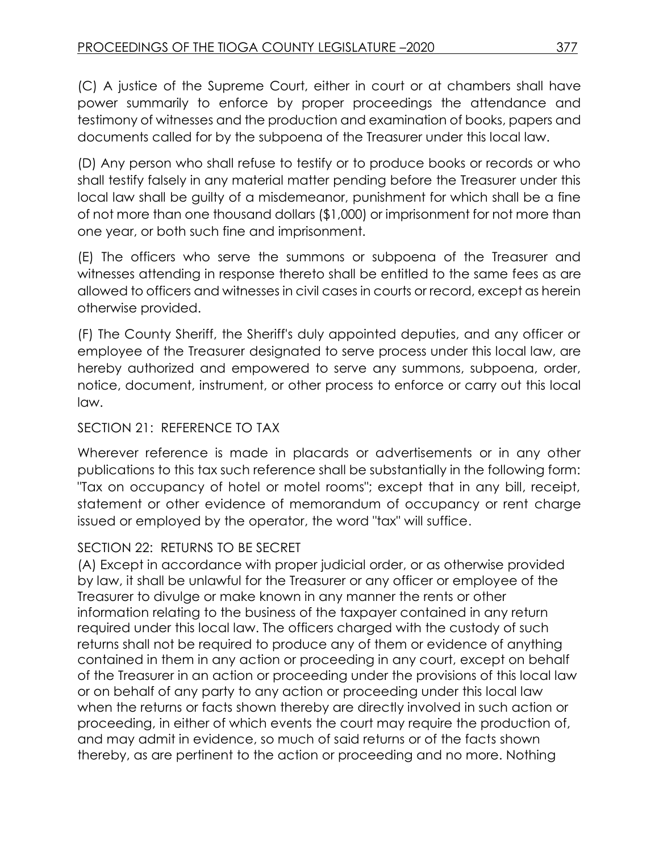(C) A justice of the Supreme Court, either in court or at chambers shall have power summarily to enforce by proper proceedings the attendance and testimony of witnesses and the production and examination of books, papers and documents called for by the subpoena of the Treasurer under this local law.

(D) Any person who shall refuse to testify or to produce books or records or who shall testify falsely in any material matter pending before the Treasurer under this local law shall be guilty of a misdemeanor, punishment for which shall be a fine of not more than one thousand dollars (\$1,000) or imprisonment for not more than one year, or both such fine and imprisonment.

(E) The officers who serve the summons or subpoena of the Treasurer and witnesses attending in response thereto shall be entitled to the same fees as are allowed to officers and witnesses in civil cases in courts or record, except as herein otherwise provided.

(F) The County Sheriff, the Sheriff's duly appointed deputies, and any officer or employee of the Treasurer designated to serve process under this local law, are hereby authorized and empowered to serve any summons, subpoena, order, notice, document, instrument, or other process to enforce or carry out this local law.

# SECTION 21: REFERENCE TO TAX

Wherever reference is made in placards or advertisements or in any other publications to this tax such reference shall be substantially in the following form: "Tax on occupancy of hotel or motel rooms"; except that in any bill, receipt, statement or other evidence of memorandum of occupancy or rent charge issued or employed by the operator, the word "tax" will suffice.

## SECTION 22: RETURNS TO BE SECRET

(A) Except in accordance with proper judicial order, or as otherwise provided by law, it shall be unlawful for the Treasurer or any officer or employee of the Treasurer to divulge or make known in any manner the rents or other information relating to the business of the taxpayer contained in any return required under this local law. The officers charged with the custody of such returns shall not be required to produce any of them or evidence of anything contained in them in any action or proceeding in any court, except on behalf of the Treasurer in an action or proceeding under the provisions of this local law or on behalf of any party to any action or proceeding under this local law when the returns or facts shown thereby are directly involved in such action or proceeding, in either of which events the court may require the production of, and may admit in evidence, so much of said returns or of the facts shown thereby, as are pertinent to the action or proceeding and no more. Nothing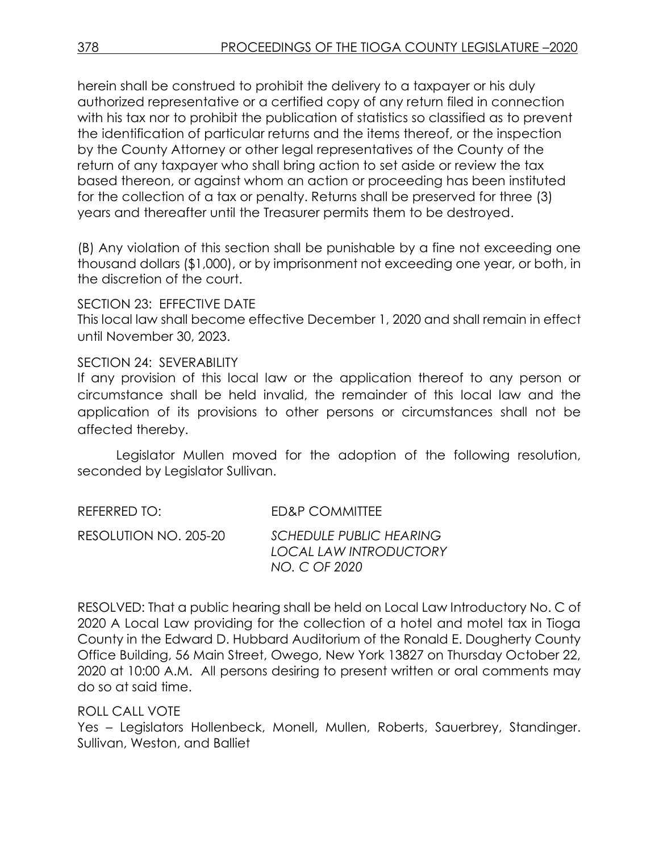herein shall be construed to prohibit the delivery to a taxpayer or his duly authorized representative or a certified copy of any return filed in connection with his tax nor to prohibit the publication of statistics so classified as to prevent the identification of particular returns and the items thereof, or the inspection by the County Attorney or other legal representatives of the County of the return of any taxpayer who shall bring action to set aside or review the tax based thereon, or against whom an action or proceeding has been instituted for the collection of a tax or penalty. Returns shall be preserved for three (3) years and thereafter until the Treasurer permits them to be destroyed.

(B) Any violation of this section shall be punishable by a fine not exceeding one thousand dollars (\$1,000), or by imprisonment not exceeding one year, or both, in the discretion of the court.

#### SECTION 23: EFFECTIVE DATE

This local law shall become effective December 1, 2020 and shall remain in effect until November 30, 2023.

#### SECTION 24: SEVERABILITY

If any provision of this local law or the application thereof to any person or circumstance shall be held invalid, the remainder of this local law and the application of its provisions to other persons or circumstances shall not be affected thereby.

Legislator Mullen moved for the adoption of the following resolution, seconded by Legislator Sullivan.

| REFERRED TO:          | <b>ED&amp;P COMMITTEE</b>                                                        |
|-----------------------|----------------------------------------------------------------------------------|
| RESOLUTION NO. 205-20 | <b>SCHEDULE PUBLIC HEARING</b><br><b>LOCAL LAW INTRODUCTORY</b><br>NO. C OF 2020 |

RESOLVED: That a public hearing shall be held on Local Law Introductory No. C of 2020 A Local Law providing for the collection of a hotel and motel tax in Tioga County in the Edward D. Hubbard Auditorium of the Ronald E. Dougherty County Office Building, 56 Main Street, Owego, New York 13827 on Thursday October 22, 2020 at 10:00 A.M. All persons desiring to present written or oral comments may do so at said time.

#### ROLL CALL VOTE

Yes – Legislators Hollenbeck, Monell, Mullen, Roberts, Sauerbrey, Standinger. Sullivan, Weston, and Balliet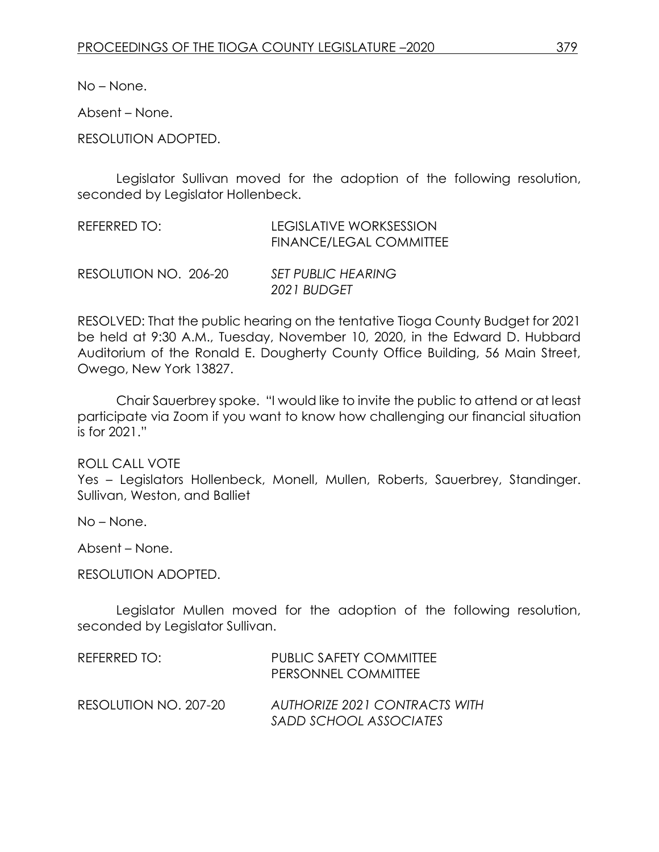No – None.

Absent – None.

RESOLUTION ADOPTED.

Legislator Sullivan moved for the adoption of the following resolution, seconded by Legislator Hollenbeck.

| REFERRED TO:          | LEGISLATIVE WORKSESSION<br><b>FINANCE/LEGAL COMMITTEE</b> |
|-----------------------|-----------------------------------------------------------|
| RESOLUTION NO. 206-20 | <b>SET PUBLIC HEARING</b><br>2021 BUDGET                  |

RESOLVED: That the public hearing on the tentative Tioga County Budget for 2021 be held at 9:30 A.M., Tuesday, November 10, 2020, in the Edward D. Hubbard Auditorium of the Ronald E. Dougherty County Office Building, 56 Main Street, Owego, New York 13827.

Chair Sauerbrey spoke. "I would like to invite the public to attend or at least participate via Zoom if you want to know how challenging our financial situation is for 2021."

ROLL CALL VOTE

Yes – Legislators Hollenbeck, Monell, Mullen, Roberts, Sauerbrey, Standinger. Sullivan, Weston, and Balliet

No – None.

Absent – None.

RESOLUTION ADOPTED.

Legislator Mullen moved for the adoption of the following resolution, seconded by Legislator Sullivan.

| REFERRED TO:          | PUBLIC SAFETY COMMITTEE<br>PERSONNEL COMMITTEE                 |
|-----------------------|----------------------------------------------------------------|
| RESOLUTION NO. 207-20 | <b>AUTHORIZE 2021 CONTRACTS WITH</b><br>SADD SCHOOL ASSOCIATES |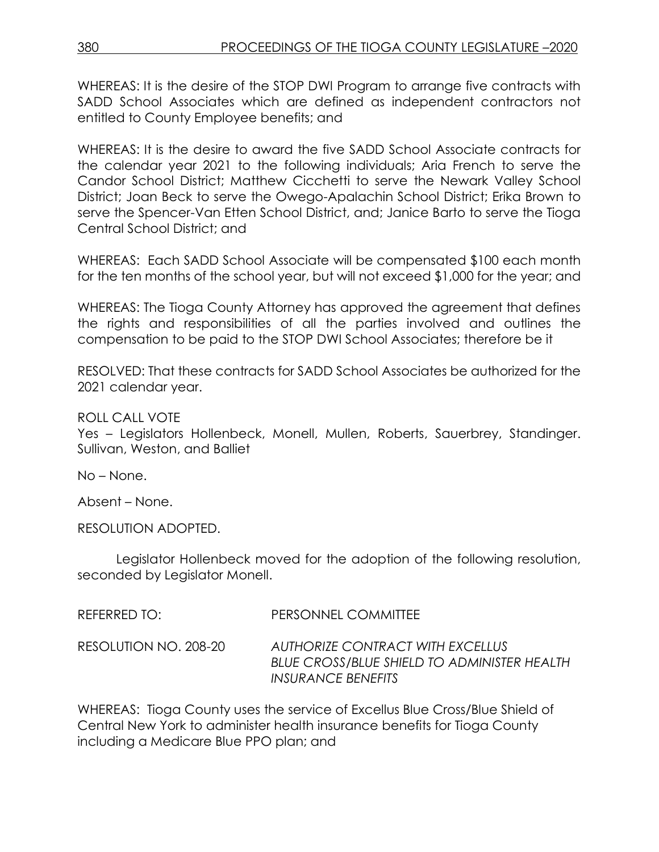WHEREAS: It is the desire of the STOP DWI Program to arrange five contracts with SADD School Associates which are defined as independent contractors not entitled to County Employee benefits; and

WHEREAS: It is the desire to award the five SADD School Associate contracts for the calendar year 2021 to the following individuals; Aria French to serve the Candor School District; Matthew Cicchetti to serve the Newark Valley School District; Joan Beck to serve the Owego-Apalachin School District; Erika Brown to serve the Spencer-Van Etten School District, and; Janice Barto to serve the Tioga Central School District; and

WHEREAS: Each SADD School Associate will be compensated \$100 each month for the ten months of the school year, but will not exceed \$1,000 for the year; and

WHEREAS: The Tioga County Attorney has approved the agreement that defines the rights and responsibilities of all the parties involved and outlines the compensation to be paid to the STOP DWI School Associates; therefore be it

RESOLVED: That these contracts for SADD School Associates be authorized for the 2021 calendar year.

ROLL CALL VOTE

Yes – Legislators Hollenbeck, Monell, Mullen, Roberts, Sauerbrey, Standinger. Sullivan, Weston, and Balliet

No – None.

Absent – None.

RESOLUTION ADOPTED.

Legislator Hollenbeck moved for the adoption of the following resolution, seconded by Legislator Monell.

| REFERRED TO:          | PERSONNEL COMMITTEE                                                                                                        |
|-----------------------|----------------------------------------------------------------------------------------------------------------------------|
| RESOLUTION NO. 208-20 | AUTHORIZE CONTRACT WITH EXCELLUS<br><b>BLUE CROSS/BLUE SHIELD TO ADMINISTER HEALTH</b><br><i><b>INSURANCE BENEFITS</b></i> |

WHEREAS: Tioga County uses the service of Excellus Blue Cross/Blue Shield of Central New York to administer health insurance benefits for Tioga County including a Medicare Blue PPO plan; and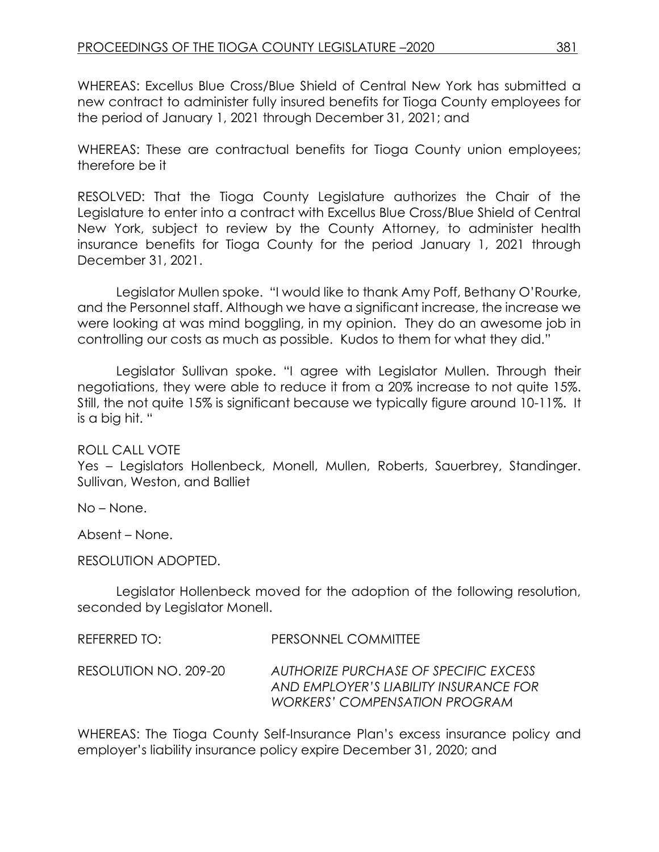WHEREAS: Excellus Blue Cross/Blue Shield of Central New York has submitted a new contract to administer fully insured benefits for Tioga County employees for the period of January 1, 2021 through December 31, 2021; and

WHEREAS: These are contractual benefits for Tioga County union employees; therefore be it

RESOLVED: That the Tioga County Legislature authorizes the Chair of the Legislature to enter into a contract with Excellus Blue Cross/Blue Shield of Central New York, subject to review by the County Attorney, to administer health insurance benefits for Tioga County for the period January 1, 2021 through December 31, 2021.

Legislator Mullen spoke. "I would like to thank Amy Poff, Bethany O'Rourke, and the Personnel staff. Although we have a significant increase, the increase we were looking at was mind boggling, in my opinion. They do an awesome job in controlling our costs as much as possible. Kudos to them for what they did."

Legislator Sullivan spoke. "I agree with Legislator Mullen. Through their negotiations, they were able to reduce it from a 20% increase to not quite 15%. Still, the not quite 15% is significant because we typically figure around 10-11%. It is a big hit. "

#### ROLL CALL VOTE

Yes – Legislators Hollenbeck, Monell, Mullen, Roberts, Sauerbrey, Standinger. Sullivan, Weston, and Balliet

No – None.

Absent – None.

RESOLUTION ADOPTED.

Legislator Hollenbeck moved for the adoption of the following resolution, seconded by Legislator Monell.

| REFERRED TO:          | PERSONNEL COMMITTEE                                                                                              |
|-----------------------|------------------------------------------------------------------------------------------------------------------|
| RESOLUTION NO. 209-20 | AUTHORIZE PURCHASE OF SPECIFIC EXCESS<br>AND EMPLOYER'S LIABILITY INSURANCE FOR<br>WORKERS' COMPENSATION PROGRAM |

WHEREAS: The Tioga County Self-Insurance Plan's excess insurance policy and employer's liability insurance policy expire December 31, 2020; and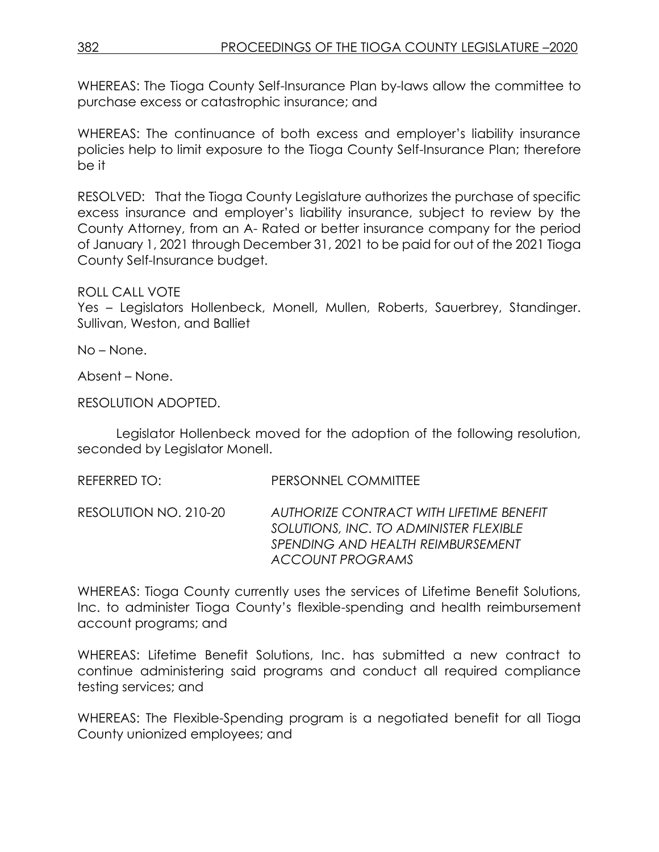WHEREAS: The Tioga County Self-Insurance Plan by-laws allow the committee to purchase excess or catastrophic insurance; and

WHEREAS: The continuance of both excess and employer's liability insurance policies help to limit exposure to the Tioga County Self-Insurance Plan; therefore be it

RESOLVED: That the Tioga County Legislature authorizes the purchase of specific excess insurance and employer's liability insurance, subject to review by the County Attorney, from an A- Rated or better insurance company for the period of January 1, 2021 through December 31, 2021 to be paid for out of the 2021 Tioga County Self-Insurance budget.

ROLL CALL VOTE

Yes – Legislators Hollenbeck, Monell, Mullen, Roberts, Sauerbrey, Standinger. Sullivan, Weston, and Balliet

No – None.

Absent – None.

RESOLUTION ADOPTED.

Legislator Hollenbeck moved for the adoption of the following resolution, seconded by Legislator Monell.

REFERRED TO: PERSONNEL COMMITTEE

RESOLUTION NO. 210-20 *AUTHORIZE CONTRACT WITH LIFETIME BENEFIT SOLUTIONS, INC. TO ADMINISTER FLEXIBLE SPENDING AND HEALTH REIMBURSEMENT ACCOUNT PROGRAMS*

WHEREAS: Tioga County currently uses the services of Lifetime Benefit Solutions, Inc. to administer Tioga County's flexible-spending and health reimbursement account programs; and

WHEREAS: Lifetime Benefit Solutions, Inc. has submitted a new contract to continue administering said programs and conduct all required compliance testing services; and

WHEREAS: The Flexible-Spending program is a negotiated benefit for all Tioga County unionized employees; and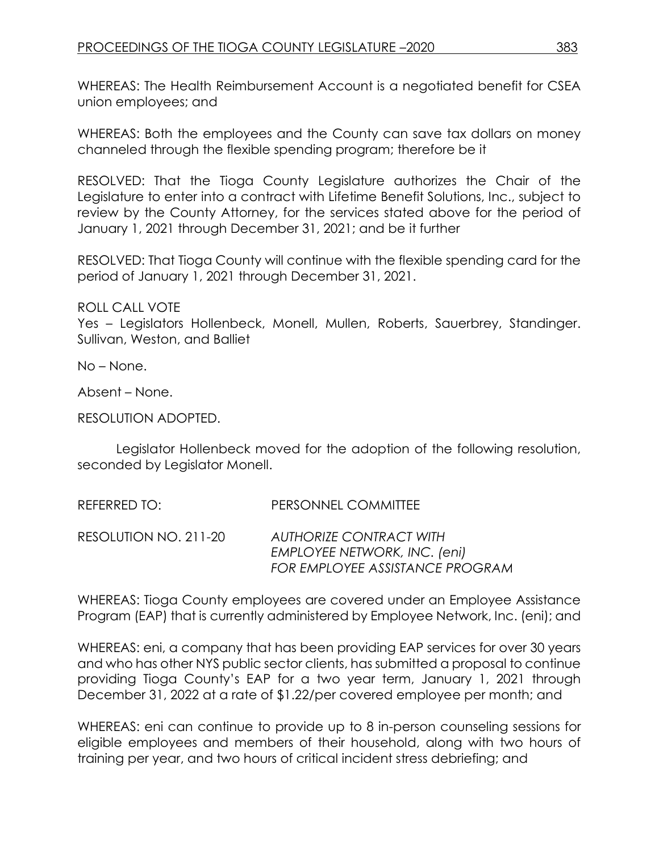WHEREAS: The Health Reimbursement Account is a negotiated benefit for CSEA union employees; and

WHEREAS: Both the employees and the County can save tax dollars on money channeled through the flexible spending program; therefore be it

RESOLVED: That the Tioga County Legislature authorizes the Chair of the Legislature to enter into a contract with Lifetime Benefit Solutions, Inc., subject to review by the County Attorney, for the services stated above for the period of January 1, 2021 through December 31, 2021; and be it further

RESOLVED: That Tioga County will continue with the flexible spending card for the period of January 1, 2021 through December 31, 2021.

ROLL CALL VOTE

Yes – Legislators Hollenbeck, Monell, Mullen, Roberts, Sauerbrey, Standinger. Sullivan, Weston, and Balliet

No – None.

Absent – None.

RESOLUTION ADOPTED.

Legislator Hollenbeck moved for the adoption of the following resolution, seconded by Legislator Monell.

REFERRED TO: PERSONNEL COMMITTEE

RESOLUTION NO. 211-20 *AUTHORIZE CONTRACT WITH EMPLOYEE NETWORK, INC. (eni) FOR EMPLOYEE ASSISTANCE PROGRAM*

WHEREAS: Tioga County employees are covered under an Employee Assistance Program (EAP) that is currently administered by Employee Network, Inc. (eni); and

WHEREAS: eni, a company that has been providing EAP services for over 30 years and who has other NYS public sector clients, has submitted a proposal to continue providing Tioga County's EAP for a two year term, January 1, 2021 through December 31, 2022 at a rate of \$1.22/per covered employee per month; and

WHEREAS: eni can continue to provide up to 8 in-person counseling sessions for eligible employees and members of their household, along with two hours of training per year, and two hours of critical incident stress debriefing; and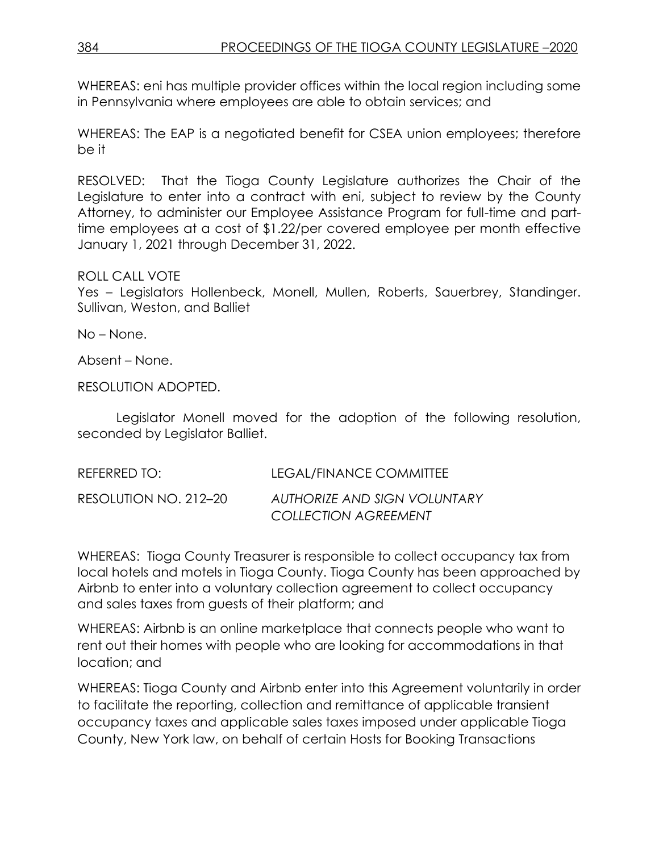WHEREAS: eni has multiple provider offices within the local region including some in Pennsylvania where employees are able to obtain services; and

WHEREAS: The EAP is a negotiated benefit for CSEA union employees; therefore be it

RESOLVED: That the Tioga County Legislature authorizes the Chair of the Legislature to enter into a contract with eni, subject to review by the County Attorney, to administer our Employee Assistance Program for full-time and parttime employees at a cost of \$1.22/per covered employee per month effective January 1, 2021 through December 31, 2022.

#### ROLL CALL VOTE

Yes – Legislators Hollenbeck, Monell, Mullen, Roberts, Sauerbrey, Standinger. Sullivan, Weston, and Balliet

No – None.

Absent – None.

RESOLUTION ADOPTED.

Legislator Monell moved for the adoption of the following resolution, seconded by Legislator Balliet.

| REFERRED TO:          | LEGAL/FINANCE COMMITTEE                                     |
|-----------------------|-------------------------------------------------------------|
| RESOLUTION NO. 212-20 | AUTHORIZE AND SIGN VOLUNTARY<br><b>COLLECTION AGREEMENT</b> |

WHEREAS: Tioga County Treasurer is responsible to collect occupancy tax from local hotels and motels in Tioga County. Tioga County has been approached by Airbnb to enter into a voluntary collection agreement to collect occupancy and sales taxes from guests of their platform; and

WHEREAS: Airbnb is an online marketplace that connects people who want to rent out their homes with people who are looking for accommodations in that location; and

WHEREAS: Tioga County and Airbnb enter into this Agreement voluntarily in order to facilitate the reporting, collection and remittance of applicable transient occupancy taxes and applicable sales taxes imposed under applicable Tioga County, New York law, on behalf of certain Hosts for Booking Transactions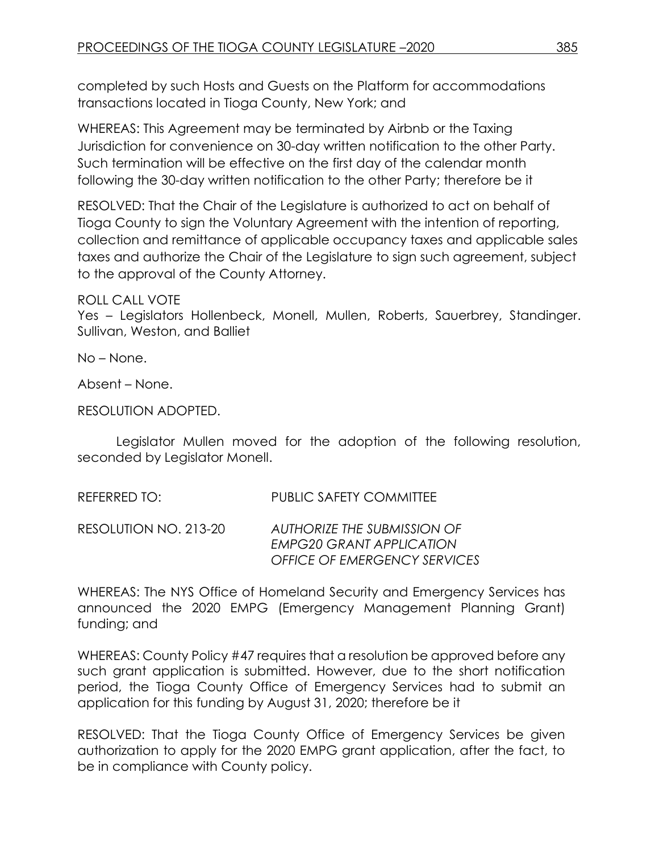completed by such Hosts and Guests on the Platform for accommodations transactions located in Tioga County, New York; and

WHEREAS: This Agreement may be terminated by Airbnb or the Taxing Jurisdiction for convenience on 30-day written notification to the other Party. Such termination will be effective on the first day of the calendar month following the 30-day written notification to the other Party; therefore be it

RESOLVED: That the Chair of the Legislature is authorized to act on behalf of Tioga County to sign the Voluntary Agreement with the intention of reporting, collection and remittance of applicable occupancy taxes and applicable sales taxes and authorize the Chair of the Legislature to sign such agreement, subject to the approval of the County Attorney.

#### ROLL CALL VOTE

Yes – Legislators Hollenbeck, Monell, Mullen, Roberts, Sauerbrey, Standinger. Sullivan, Weston, and Balliet

No – None.

Absent – None.

RESOLUTION ADOPTED.

Legislator Mullen moved for the adoption of the following resolution, seconded by Legislator Monell.

REFERRED TO: PUBLIC SAFETY COMMITTEE RESOLUTION NO. 213-20 *AUTHORIZE THE SUBMISSION OF EMPG20 GRANT APPLICATION OFFICE OF EMERGENCY SERVICES*

WHEREAS: The NYS Office of Homeland Security and Emergency Services has announced the 2020 EMPG (Emergency Management Planning Grant) funding; and

WHEREAS: County Policy #47 requires that a resolution be approved before any such grant application is submitted. However, due to the short notification period, the Tioga County Office of Emergency Services had to submit an application for this funding by August 31, 2020; therefore be it

RESOLVED: That the Tioga County Office of Emergency Services be given authorization to apply for the 2020 EMPG grant application, after the fact, to be in compliance with County policy.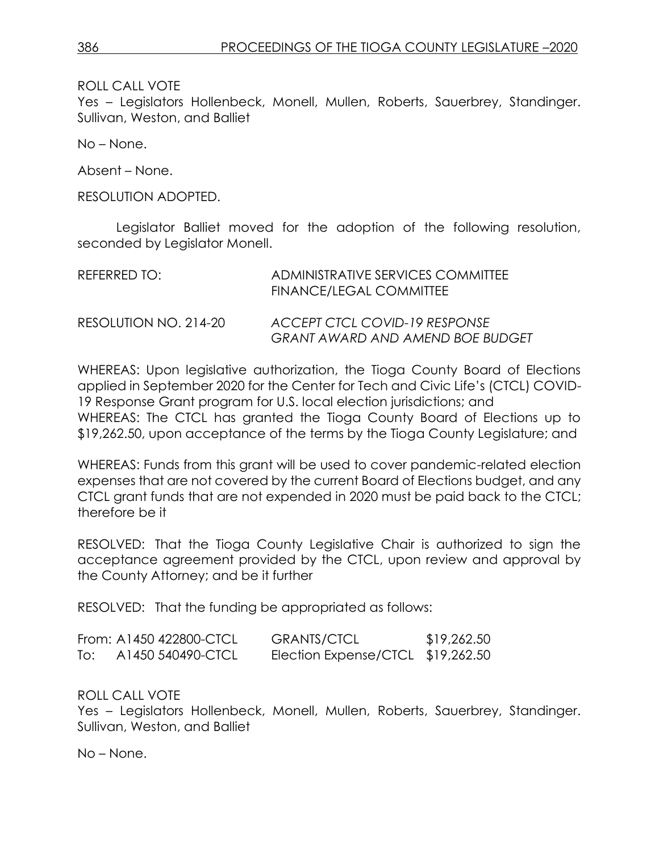ROLL CALL VOTE

Yes – Legislators Hollenbeck, Monell, Mullen, Roberts, Sauerbrey, Standinger. Sullivan, Weston, and Balliet

No – None.

Absent – None.

RESOLUTION ADOPTED.

Legislator Balliet moved for the adoption of the following resolution, seconded by Legislator Monell.

| REFERRED TO:          | ADMINISTRATIVE SERVICES COMMITTEE<br>FINANCE/LEGAL COMMITTEE             |
|-----------------------|--------------------------------------------------------------------------|
| RESOLUTION NO. 214-20 | ACCEPT CTCL COVID-19 RESPONSE<br><b>GRANT AWARD AND AMEND BOE BUDGET</b> |

WHEREAS: Upon legislative authorization, the Tioga County Board of Elections applied in September 2020 for the Center for Tech and Civic Life's (CTCL) COVID-19 Response Grant program for U.S. local election jurisdictions; and WHEREAS: The CTCL has granted the Tioga County Board of Elections up to \$19,262.50, upon acceptance of the terms by the Tioga County Legislature; and

WHEREAS: Funds from this grant will be used to cover pandemic-related election expenses that are not covered by the current Board of Elections budget, and any CTCL grant funds that are not expended in 2020 must be paid back to the CTCL; therefore be it

RESOLVED: That the Tioga County Legislative Chair is authorized to sign the acceptance agreement provided by the CTCL, upon review and approval by the County Attorney; and be it further

RESOLVED: That the funding be appropriated as follows:

|     | From: A1450 422800-CTCL | <b>GRANTS/CTCL</b>                | \$19,262.50 |
|-----|-------------------------|-----------------------------------|-------------|
| To: | A1450 540490-CTCL       | Election Expense/CTCL \$19,262.50 |             |

#### ROLL CALL VOTE

Yes – Legislators Hollenbeck, Monell, Mullen, Roberts, Sauerbrey, Standinger. Sullivan, Weston, and Balliet

No – None.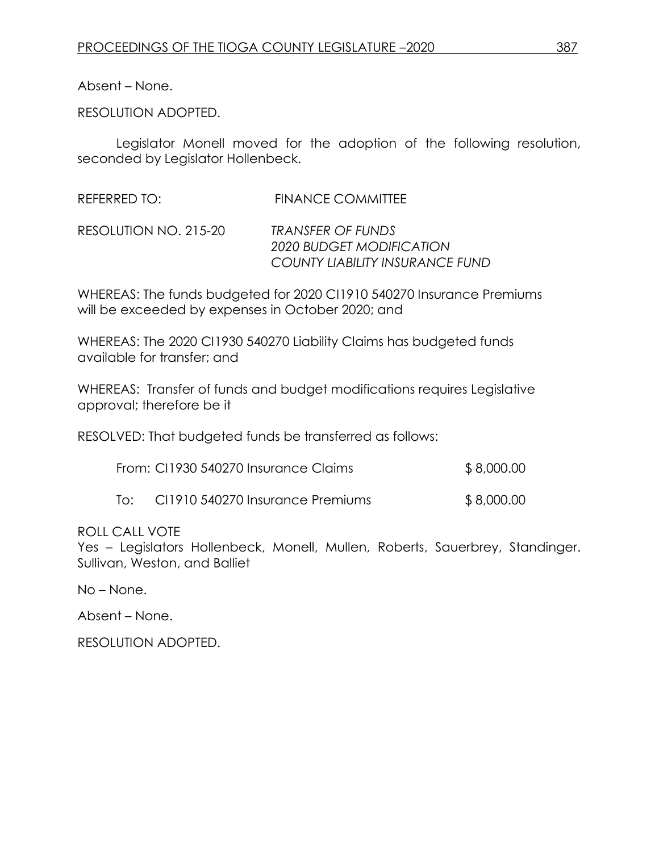Absent – None.

RESOLUTION ADOPTED.

Legislator Monell moved for the adoption of the following resolution, seconded by Legislator Hollenbeck.

REFERRED TO: FINANCE COMMITTEE

RESOLUTION NO. 215-20 *TRANSFER OF FUNDS 2020 BUDGET MODIFICATION COUNTY LIABILITY INSURANCE FUND*

WHEREAS: The funds budgeted for 2020 CI1910 540270 Insurance Premiums will be exceeded by expenses in October 2020; and

WHEREAS: The 2020 CI1930 540270 Liability Claims has budgeted funds available for transfer; and

WHEREAS: Transfer of funds and budget modifications requires Legislative approval; therefore be it

RESOLVED: That budgeted funds be transferred as follows:

|     | From: C11930 540270 Insurance Claims | \$8,000.00 |
|-----|--------------------------------------|------------|
| To: | CI1910 540270 Insurance Premiums     | \$8,000.00 |

ROLL CALL VOTE

Yes – Legislators Hollenbeck, Monell, Mullen, Roberts, Sauerbrey, Standinger. Sullivan, Weston, and Balliet

No – None.

Absent – None.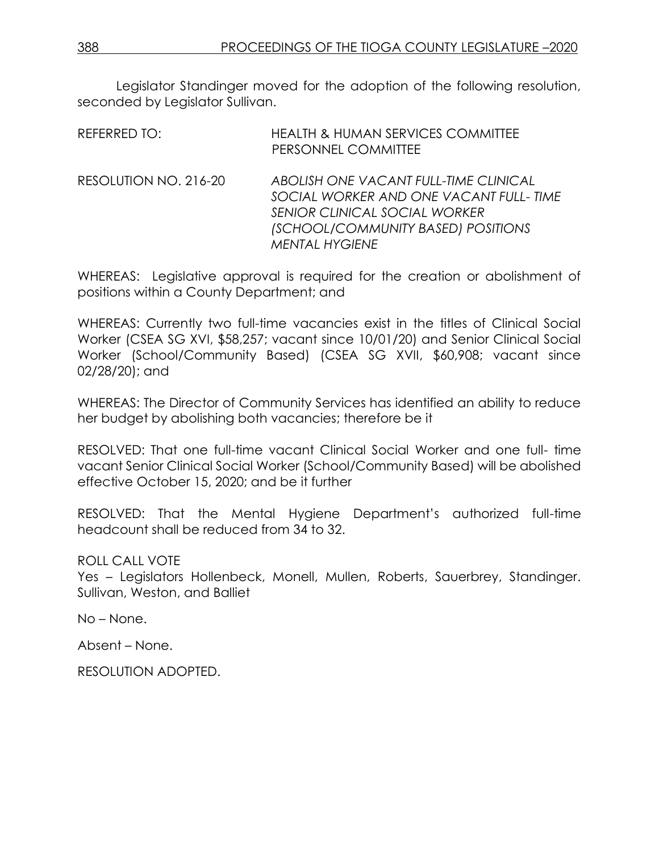Legislator Standinger moved for the adoption of the following resolution, seconded by Legislator Sullivan.

| <b>REFERRED TO:</b>   | <b>HEALTH &amp; HUMAN SERVICES COMMITTEE</b><br>PERSONNEL COMMITTEE                                                                                                             |
|-----------------------|---------------------------------------------------------------------------------------------------------------------------------------------------------------------------------|
| RESOLUTION NO. 216-20 | ABOLISH ONE VACANT FULL-TIME CLINICAL<br>SOCIAL WORKER AND ONE VACANT FULL-TIME<br>SENIOR CLINICAL SOCIAL WORKER<br>(SCHOOL/COMMUNITY BASED) POSITIONS<br><b>MENTAL HYGIENE</b> |

WHEREAS: Legislative approval is required for the creation or abolishment of positions within a County Department; and

WHEREAS: Currently two full-time vacancies exist in the titles of Clinical Social Worker (CSEA SG XVI, \$58,257; vacant since 10/01/20) and Senior Clinical Social Worker (School/Community Based) (CSEA SG XVII, \$60,908; vacant since 02/28/20); and

WHEREAS: The Director of Community Services has identified an ability to reduce her budget by abolishing both vacancies; therefore be it

RESOLVED: That one full-time vacant Clinical Social Worker and one full- time vacant Senior Clinical Social Worker (School/Community Based) will be abolished effective October 15, 2020; and be it further

RESOLVED: That the Mental Hygiene Department's authorized full-time headcount shall be reduced from 34 to 32.

#### ROLL CALL VOTE

Yes – Legislators Hollenbeck, Monell, Mullen, Roberts, Sauerbrey, Standinger. Sullivan, Weston, and Balliet

No – None.

Absent – None.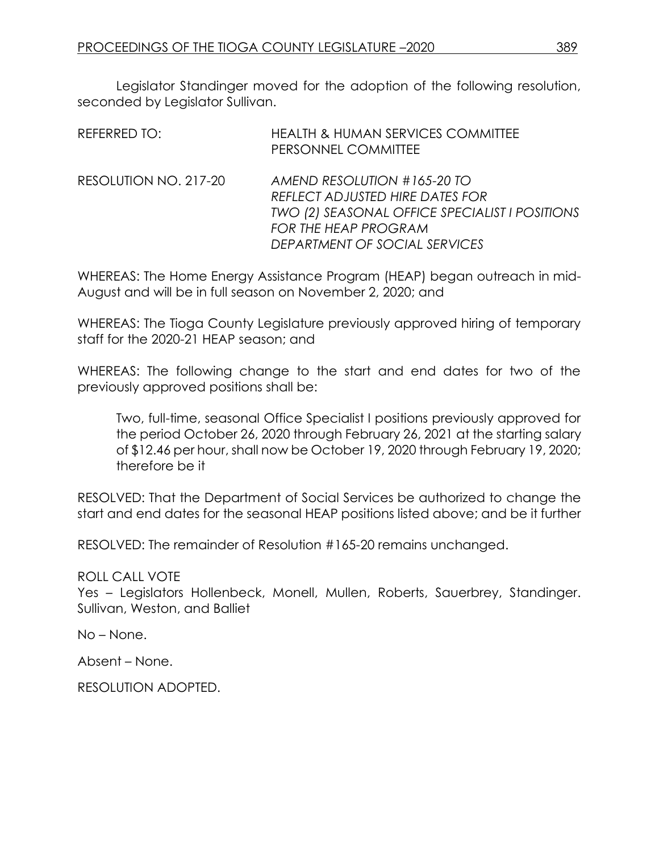Legislator Standinger moved for the adoption of the following resolution, seconded by Legislator Sullivan.

| REFERRED TO:          | <b>HEALTH &amp; HUMAN SERVICES COMMITTEE</b><br>PERSONNEL COMMITTEE                                                                                                              |
|-----------------------|----------------------------------------------------------------------------------------------------------------------------------------------------------------------------------|
| RESOLUTION NO. 217-20 | AMEND RESOLUTION #165-20 TO<br>REFLECT ADJUSTED HIRE DATES FOR<br>TWO (2) SEASONAL OFFICE SPECIALIST I POSITIONS<br><b>FOR THE HEAP PROGRAM</b><br>DEPARTMENT OF SOCIAL SERVICES |

WHEREAS: The Home Energy Assistance Program (HEAP) began outreach in mid-August and will be in full season on November 2, 2020; and

WHEREAS: The Tioga County Legislature previously approved hiring of temporary staff for the 2020-21 HEAP season; and

WHEREAS: The following change to the start and end dates for two of the previously approved positions shall be:

Two, full-time, seasonal Office Specialist I positions previously approved for the period October 26, 2020 through February 26, 2021 at the starting salary of \$12.46 per hour, shall now be October 19, 2020 through February 19, 2020; therefore be it

RESOLVED: That the Department of Social Services be authorized to change the start and end dates for the seasonal HEAP positions listed above; and be it further

RESOLVED: The remainder of Resolution #165-20 remains unchanged.

#### ROLL CALL VOTE

Yes – Legislators Hollenbeck, Monell, Mullen, Roberts, Sauerbrey, Standinger. Sullivan, Weston, and Balliet

No – None.

Absent – None.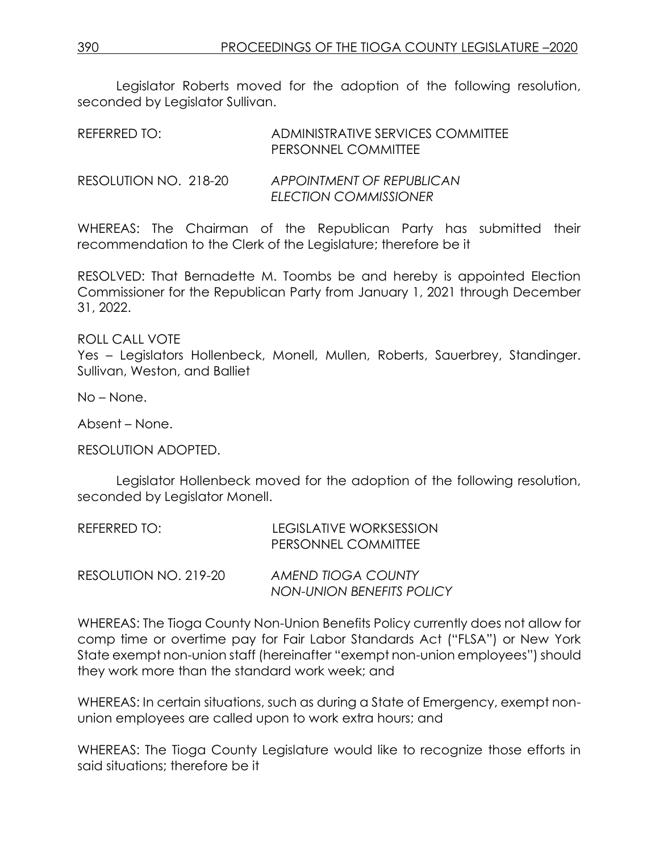Legislator Roberts moved for the adoption of the following resolution, seconded by Legislator Sullivan.

| REFERRED TO:          | ADMINISTRATIVE SERVICES COMMITTEE<br>PERSONNEL COMMITTEE |
|-----------------------|----------------------------------------------------------|
| RESOLUTION NO. 218-20 | APPOINTMENT OF REPUBLICAN                                |

WHEREAS: The Chairman of the Republican Party has submitted their recommendation to the Clerk of the Legislature; therefore be it

*ELECTION COMMISSIONER*

RESOLVED: That Bernadette M. Toombs be and hereby is appointed Election Commissioner for the Republican Party from January 1, 2021 through December 31, 2022.

#### ROLL CALL VOTE

Yes – Legislators Hollenbeck, Monell, Mullen, Roberts, Sauerbrey, Standinger. Sullivan, Weston, and Balliet

No – None.

Absent – None.

RESOLUTION ADOPTED.

Legislator Hollenbeck moved for the adoption of the following resolution, seconded by Legislator Monell.

| REFERRED TO:           | LEGISLATIVE WORKSESSION |
|------------------------|-------------------------|
|                        | PERSONNEL COMMITTEE     |
| DFCOMIITIANI AIO AIO A | $\lambda$               |

RESOLUTION NO. 219-20 *AMEND TIOGA COUNTY NON-UNION BENEFITS POLICY*

WHEREAS: The Tioga County Non-Union Benefits Policy currently does not allow for comp time or overtime pay for Fair Labor Standards Act ("FLSA") or New York State exempt non-union staff (hereinafter "exempt non-union employees") should they work more than the standard work week; and

WHEREAS: In certain situations, such as during a State of Emergency, exempt nonunion employees are called upon to work extra hours; and

WHEREAS: The Tioga County Legislature would like to recognize those efforts in said situations; therefore be it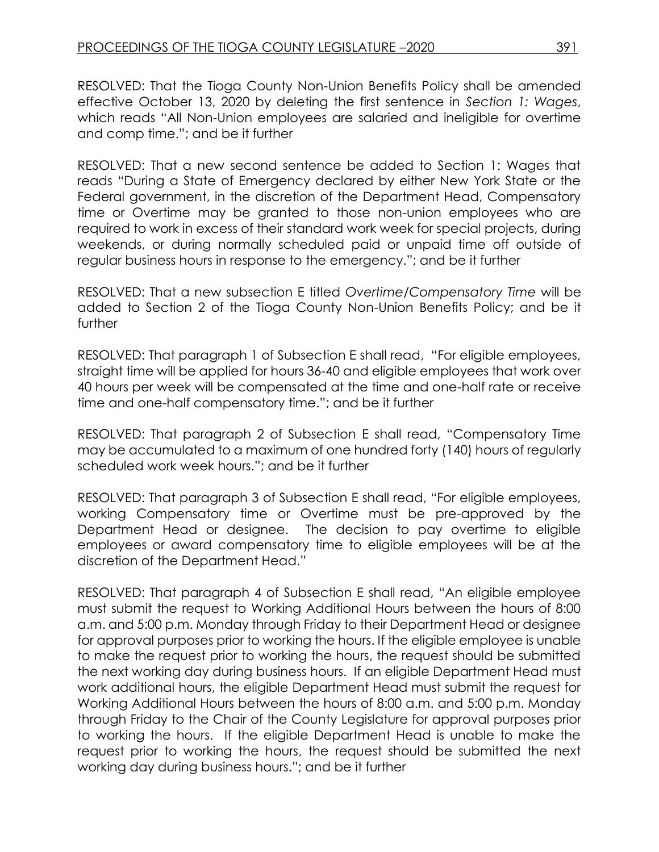RESOLVED: That the Tioga County Non-Union Benefits Policy shall be amended effective October 13, 2020 by deleting the first sentence in *Section 1: Wages*, which reads "All Non-Union employees are salaried and ineligible for overtime and comp time."; and be it further

RESOLVED: That a new second sentence be added to Section 1: Wages that reads "During a State of Emergency declared by either New York State or the Federal government, in the discretion of the Department Head, Compensatory time or Overtime may be granted to those non-union employees who are required to work in excess of their standard work week for special projects, during weekends, or during normally scheduled paid or unpaid time off outside of regular business hours in response to the emergency."; and be it further

RESOLVED: That a new subsection E titled *Overtime/Compensatory Time* will be added to Section 2 of the Tioga County Non-Union Benefits Policy; and be it further

RESOLVED: That paragraph 1 of Subsection E shall read, "For eligible employees, straight time will be applied for hours 36-40 and eligible employees that work over 40 hours per week will be compensated at the time and one-half rate or receive time and one-half compensatory time."; and be it further

RESOLVED: That paragraph 2 of Subsection E shall read, "Compensatory Time may be accumulated to a maximum of one hundred forty (140) hours of regularly scheduled work week hours."; and be it further

RESOLVED: That paragraph 3 of Subsection E shall read, "For eligible employees, working Compensatory time or Overtime must be pre-approved by the Department Head or designee. The decision to pay overtime to eligible employees or award compensatory time to eligible employees will be at the discretion of the Department Head."

RESOLVED: That paragraph 4 of Subsection E shall read, "An eligible employee must submit the request to Working Additional Hours between the hours of 8:00 a.m. and 5:00 p.m. Monday through Friday to their Department Head or designee for approval purposes prior to working the hours. If the eligible employee is unable to make the request prior to working the hours, the request should be submitted the next working day during business hours. If an eligible Department Head must work additional hours, the eligible Department Head must submit the request for Working Additional Hours between the hours of 8:00 a.m. and 5:00 p.m. Monday through Friday to the Chair of the County Legislature for approval purposes prior to working the hours. If the eligible Department Head is unable to make the request prior to working the hours, the request should be submitted the next working day during business hours."; and be it further